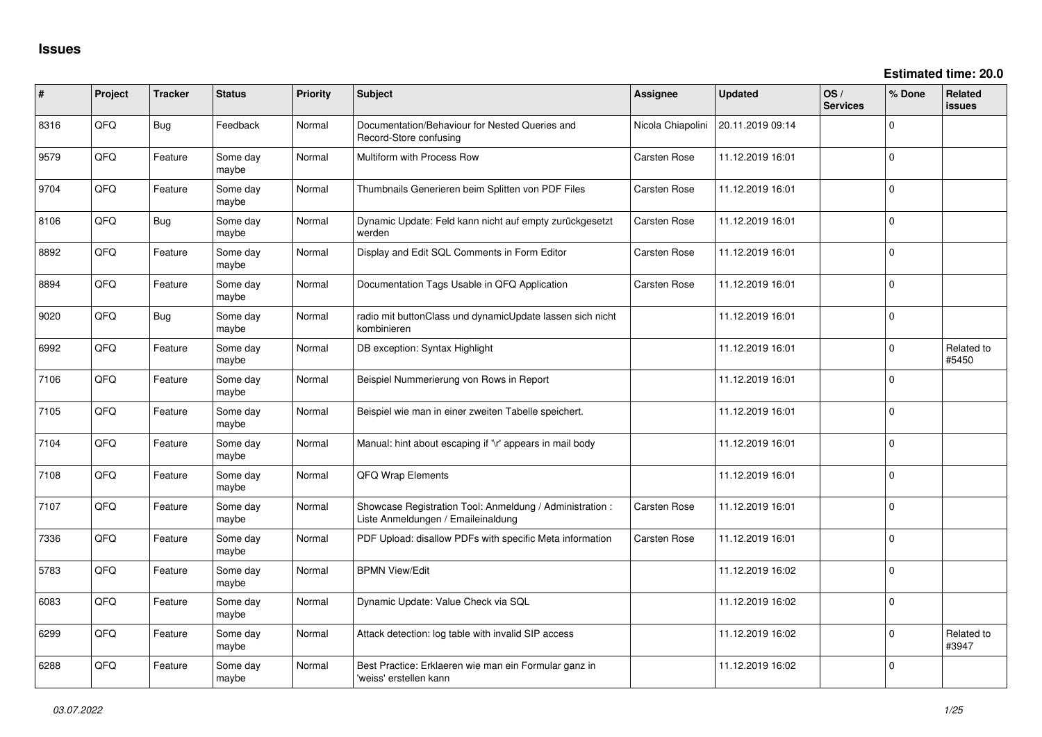| ∦    | Project | <b>Tracker</b> | <b>Status</b>     | <b>Priority</b> | Subject                                                                                        | Assignee          | <b>Updated</b>   | OS/<br><b>Services</b> | % Done         | <b>Related</b><br><b>issues</b> |
|------|---------|----------------|-------------------|-----------------|------------------------------------------------------------------------------------------------|-------------------|------------------|------------------------|----------------|---------------------------------|
| 8316 | QFQ     | <b>Bug</b>     | Feedback          | Normal          | Documentation/Behaviour for Nested Queries and<br>Record-Store confusing                       | Nicola Chiapolini | 20.11.2019 09:14 |                        | 0              |                                 |
| 9579 | QFQ     | Feature        | Some day<br>maybe | Normal          | Multiform with Process Row                                                                     | Carsten Rose      | 11.12.2019 16:01 |                        | 0              |                                 |
| 9704 | QFQ     | Feature        | Some day<br>maybe | Normal          | Thumbnails Generieren beim Splitten von PDF Files                                              | Carsten Rose      | 11.12.2019 16:01 |                        | $\overline{0}$ |                                 |
| 8106 | QFQ     | <b>Bug</b>     | Some day<br>maybe | Normal          | Dynamic Update: Feld kann nicht auf empty zurückgesetzt<br>werden                              | Carsten Rose      | 11.12.2019 16:01 |                        | 0              |                                 |
| 8892 | QFQ     | Feature        | Some day<br>maybe | Normal          | Display and Edit SQL Comments in Form Editor                                                   | Carsten Rose      | 11.12.2019 16:01 |                        | 0              |                                 |
| 8894 | QFQ     | Feature        | Some day<br>maybe | Normal          | Documentation Tags Usable in QFQ Application                                                   | Carsten Rose      | 11.12.2019 16:01 |                        | 0              |                                 |
| 9020 | QFQ     | <b>Bug</b>     | Some day<br>maybe | Normal          | radio mit buttonClass und dynamicUpdate lassen sich nicht<br>kombinieren                       |                   | 11.12.2019 16:01 |                        | $\mathbf 0$    |                                 |
| 6992 | QFQ     | Feature        | Some day<br>maybe | Normal          | DB exception: Syntax Highlight                                                                 |                   | 11.12.2019 16:01 |                        | $\Omega$       | Related to<br>#5450             |
| 7106 | QFQ     | Feature        | Some day<br>maybe | Normal          | Beispiel Nummerierung von Rows in Report                                                       |                   | 11.12.2019 16:01 |                        | $\Omega$       |                                 |
| 7105 | QFQ     | Feature        | Some day<br>maybe | Normal          | Beispiel wie man in einer zweiten Tabelle speichert.                                           |                   | 11.12.2019 16:01 |                        | $\mathbf{0}$   |                                 |
| 7104 | QFQ     | Feature        | Some day<br>maybe | Normal          | Manual: hint about escaping if '\r' appears in mail body                                       |                   | 11.12.2019 16:01 |                        | 0              |                                 |
| 7108 | QFQ     | Feature        | Some day<br>maybe | Normal          | QFQ Wrap Elements                                                                              |                   | 11.12.2019 16:01 |                        | $\mathbf 0$    |                                 |
| 7107 | QFQ     | Feature        | Some day<br>maybe | Normal          | Showcase Registration Tool: Anmeldung / Administration :<br>Liste Anmeldungen / Emaileinaldung | Carsten Rose      | 11.12.2019 16:01 |                        | 0              |                                 |
| 7336 | QFQ     | Feature        | Some day<br>maybe | Normal          | PDF Upload: disallow PDFs with specific Meta information                                       | Carsten Rose      | 11.12.2019 16:01 |                        | 0              |                                 |
| 5783 | QFQ     | Feature        | Some day<br>maybe | Normal          | <b>BPMN View/Edit</b>                                                                          |                   | 11.12.2019 16:02 |                        | 0              |                                 |
| 6083 | QFQ     | Feature        | Some day<br>maybe | Normal          | Dynamic Update: Value Check via SQL                                                            |                   | 11.12.2019 16:02 |                        | 0              |                                 |
| 6299 | QFQ     | Feature        | Some day<br>maybe | Normal          | Attack detection: log table with invalid SIP access                                            |                   | 11.12.2019 16:02 |                        | 0              | Related to<br>#3947             |
| 6288 | QFQ     | Feature        | Some day<br>maybe | Normal          | Best Practice: Erklaeren wie man ein Formular ganz in<br>'weiss' erstellen kann                |                   | 11.12.2019 16:02 |                        | 0              |                                 |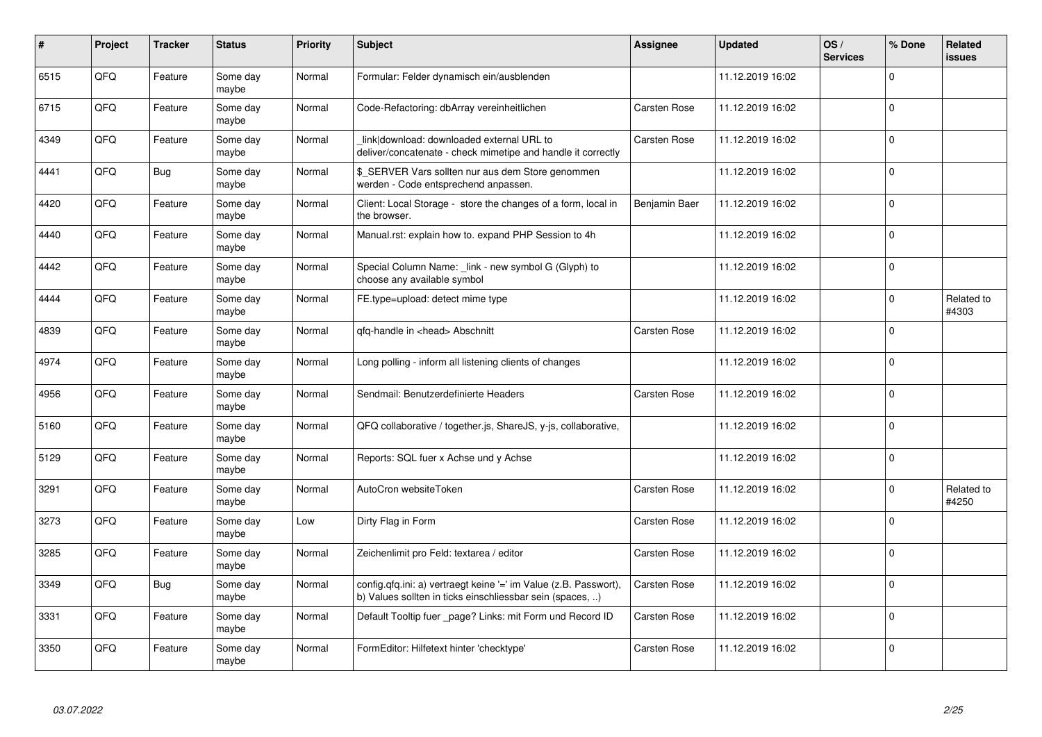| #    | Project    | <b>Tracker</b> | <b>Status</b>     | <b>Priority</b> | <b>Subject</b>                                                                                                                | <b>Assignee</b> | <b>Updated</b>   | OS/<br><b>Services</b> | % Done      | Related<br>issues   |
|------|------------|----------------|-------------------|-----------------|-------------------------------------------------------------------------------------------------------------------------------|-----------------|------------------|------------------------|-------------|---------------------|
| 6515 | QFQ        | Feature        | Some day<br>maybe | Normal          | Formular: Felder dynamisch ein/ausblenden                                                                                     |                 | 11.12.2019 16:02 |                        | 0           |                     |
| 6715 | QFQ        | Feature        | Some day<br>maybe | Normal          | Code-Refactoring: dbArray vereinheitlichen                                                                                    | Carsten Rose    | 11.12.2019 16:02 |                        | $\mathbf 0$ |                     |
| 4349 | QFQ        | Feature        | Some day<br>maybe | Normal          | link download: downloaded external URL to<br>deliver/concatenate - check mimetipe and handle it correctly                     | Carsten Rose    | 11.12.2019 16:02 |                        | $\Omega$    |                     |
| 4441 | QFQ        | <b>Bug</b>     | Some day<br>maybe | Normal          | \$ SERVER Vars sollten nur aus dem Store genommen<br>werden - Code entsprechend anpassen.                                     |                 | 11.12.2019 16:02 |                        | $\Omega$    |                     |
| 4420 | <b>OFO</b> | Feature        | Some day<br>maybe | Normal          | Client: Local Storage - store the changes of a form, local in<br>the browser.                                                 | Benjamin Baer   | 11.12.2019 16:02 |                        | $\Omega$    |                     |
| 4440 | QFQ        | Feature        | Some day<br>maybe | Normal          | Manual.rst: explain how to. expand PHP Session to 4h                                                                          |                 | 11.12.2019 16:02 |                        | $\Omega$    |                     |
| 4442 | QFQ        | Feature        | Some day<br>maybe | Normal          | Special Column Name: _link - new symbol G (Glyph) to<br>choose any available symbol                                           |                 | 11.12.2019 16:02 |                        | 0           |                     |
| 4444 | QFQ        | Feature        | Some day<br>maybe | Normal          | FE.type=upload: detect mime type                                                                                              |                 | 11.12.2019 16:02 |                        | $\Omega$    | Related to<br>#4303 |
| 4839 | QFQ        | Feature        | Some day<br>maybe | Normal          | gfg-handle in <head> Abschnitt</head>                                                                                         | Carsten Rose    | 11.12.2019 16:02 |                        | $\mathbf 0$ |                     |
| 4974 | QFQ        | Feature        | Some day<br>maybe | Normal          | Long polling - inform all listening clients of changes                                                                        |                 | 11.12.2019 16:02 |                        | $\mathbf 0$ |                     |
| 4956 | QFQ        | Feature        | Some day<br>maybe | Normal          | Sendmail: Benutzerdefinierte Headers                                                                                          | Carsten Rose    | 11.12.2019 16:02 |                        | $\Omega$    |                     |
| 5160 | QFQ        | Feature        | Some day<br>maybe | Normal          | QFQ collaborative / together.js, ShareJS, y-js, collaborative,                                                                |                 | 11.12.2019 16:02 |                        | $\mathbf 0$ |                     |
| 5129 | QFQ        | Feature        | Some day<br>maybe | Normal          | Reports: SQL fuer x Achse und y Achse                                                                                         |                 | 11.12.2019 16:02 |                        | $\mathbf 0$ |                     |
| 3291 | QFQ        | Feature        | Some day<br>maybe | Normal          | AutoCron websiteToken                                                                                                         | Carsten Rose    | 11.12.2019 16:02 |                        | $\mathbf 0$ | Related to<br>#4250 |
| 3273 | QFQ        | Feature        | Some day<br>maybe | Low             | Dirty Flag in Form                                                                                                            | Carsten Rose    | 11.12.2019 16:02 |                        | $\mathbf 0$ |                     |
| 3285 | QFQ        | Feature        | Some day<br>maybe | Normal          | Zeichenlimit pro Feld: textarea / editor                                                                                      | Carsten Rose    | 11.12.2019 16:02 |                        | 0           |                     |
| 3349 | QFQ        | <b>Bug</b>     | Some day<br>maybe | Normal          | config.qfq.ini: a) vertraegt keine '=' im Value (z.B. Passwort),<br>b) Values sollten in ticks einschliessbar sein (spaces, ) | Carsten Rose    | 11.12.2019 16:02 |                        | 0           |                     |
| 3331 | QFQ        | Feature        | Some day<br>maybe | Normal          | Default Tooltip fuer page? Links: mit Form und Record ID                                                                      | Carsten Rose    | 11.12.2019 16:02 |                        | $\mathbf 0$ |                     |
| 3350 | QFQ        | Feature        | Some day<br>maybe | Normal          | FormEditor: Hilfetext hinter 'checktype'                                                                                      | Carsten Rose    | 11.12.2019 16:02 |                        | $\Omega$    |                     |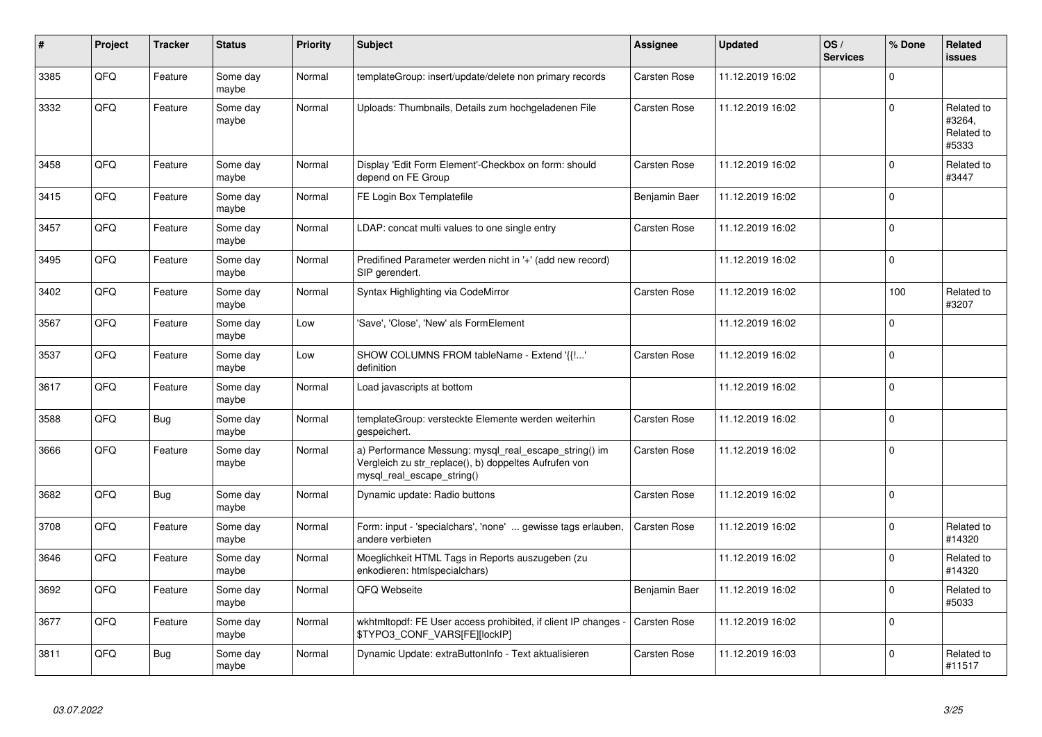| #    | Project | <b>Tracker</b> | <b>Status</b>     | <b>Priority</b> | <b>Subject</b>                                                                                                                               | Assignee            | <b>Updated</b>   | OS/<br><b>Services</b> | % Done         | Related<br>issues                           |
|------|---------|----------------|-------------------|-----------------|----------------------------------------------------------------------------------------------------------------------------------------------|---------------------|------------------|------------------------|----------------|---------------------------------------------|
| 3385 | QFQ     | Feature        | Some day<br>maybe | Normal          | templateGroup: insert/update/delete non primary records                                                                                      | Carsten Rose        | 11.12.2019 16:02 |                        | $\Omega$       |                                             |
| 3332 | QFQ     | Feature        | Some day<br>maybe | Normal          | Uploads: Thumbnails, Details zum hochgeladenen File                                                                                          | Carsten Rose        | 11.12.2019 16:02 |                        | $\Omega$       | Related to<br>#3264,<br>Related to<br>#5333 |
| 3458 | QFQ     | Feature        | Some day<br>maybe | Normal          | Display 'Edit Form Element'-Checkbox on form: should<br>depend on FE Group                                                                   | Carsten Rose        | 11.12.2019 16:02 |                        | $\Omega$       | Related to<br>#3447                         |
| 3415 | QFQ     | Feature        | Some day<br>maybe | Normal          | FE Login Box Templatefile                                                                                                                    | Benjamin Baer       | 11.12.2019 16:02 |                        | $\overline{0}$ |                                             |
| 3457 | QFQ     | Feature        | Some day<br>maybe | Normal          | LDAP: concat multi values to one single entry                                                                                                | Carsten Rose        | 11.12.2019 16:02 |                        | $\Omega$       |                                             |
| 3495 | QFQ     | Feature        | Some day<br>maybe | Normal          | Predifined Parameter werden nicht in '+' (add new record)<br>SIP gerendert.                                                                  |                     | 11.12.2019 16:02 |                        | $\Omega$       |                                             |
| 3402 | QFQ     | Feature        | Some day<br>maybe | Normal          | Syntax Highlighting via CodeMirror                                                                                                           | Carsten Rose        | 11.12.2019 16:02 |                        | 100            | Related to<br>#3207                         |
| 3567 | QFQ     | Feature        | Some day<br>maybe | Low             | 'Save', 'Close', 'New' als FormElement                                                                                                       |                     | 11.12.2019 16:02 |                        | $\Omega$       |                                             |
| 3537 | QFQ     | Feature        | Some day<br>maybe | Low             | SHOW COLUMNS FROM tableName - Extend '{{!'<br>definition                                                                                     | <b>Carsten Rose</b> | 11.12.2019 16:02 |                        | $\Omega$       |                                             |
| 3617 | QFQ     | Feature        | Some day<br>maybe | Normal          | Load javascripts at bottom                                                                                                                   |                     | 11.12.2019 16:02 |                        | $\Omega$       |                                             |
| 3588 | QFQ     | <b>Bug</b>     | Some day<br>maybe | Normal          | templateGroup: versteckte Elemente werden weiterhin<br>gespeichert.                                                                          | Carsten Rose        | 11.12.2019 16:02 |                        | $\overline{0}$ |                                             |
| 3666 | QFQ     | Feature        | Some day<br>maybe | Normal          | a) Performance Messung: mysql_real_escape_string() im<br>Vergleich zu str_replace(), b) doppeltes Aufrufen von<br>mysql_real_escape_string() | Carsten Rose        | 11.12.2019 16:02 |                        | $\Omega$       |                                             |
| 3682 | QFQ     | <b>Bug</b>     | Some day<br>maybe | Normal          | Dynamic update: Radio buttons                                                                                                                | Carsten Rose        | 11.12.2019 16:02 |                        | $\Omega$       |                                             |
| 3708 | QFQ     | Feature        | Some day<br>maybe | Normal          | Form: input - 'specialchars', 'none'  gewisse tags erlauben,<br>andere verbieten                                                             | <b>Carsten Rose</b> | 11.12.2019 16:02 |                        | $\Omega$       | Related to<br>#14320                        |
| 3646 | QFQ     | Feature        | Some day<br>maybe | Normal          | Moeglichkeit HTML Tags in Reports auszugeben (zu<br>enkodieren: htmlspecialchars)                                                            |                     | 11.12.2019 16:02 |                        | $\Omega$       | Related to<br>#14320                        |
| 3692 | QFQ     | Feature        | Some day<br>maybe | Normal          | QFQ Webseite                                                                                                                                 | Benjamin Baer       | 11.12.2019 16:02 |                        | $\Omega$       | Related to<br>#5033                         |
| 3677 | QFQ     | Feature        | Some day<br>maybe | Normal          | wkhtmitopdf: FE User access prohibited, if client IP changes -<br>\$TYPO3_CONF_VARS[FE][lockIP]                                              | <b>Carsten Rose</b> | 11.12.2019 16:02 |                        | $\Omega$       |                                             |
| 3811 | QFQ     | Bug            | Some day<br>maybe | Normal          | Dynamic Update: extraButtonInfo - Text aktualisieren                                                                                         | Carsten Rose        | 11.12.2019 16:03 |                        | $\Omega$       | Related to<br>#11517                        |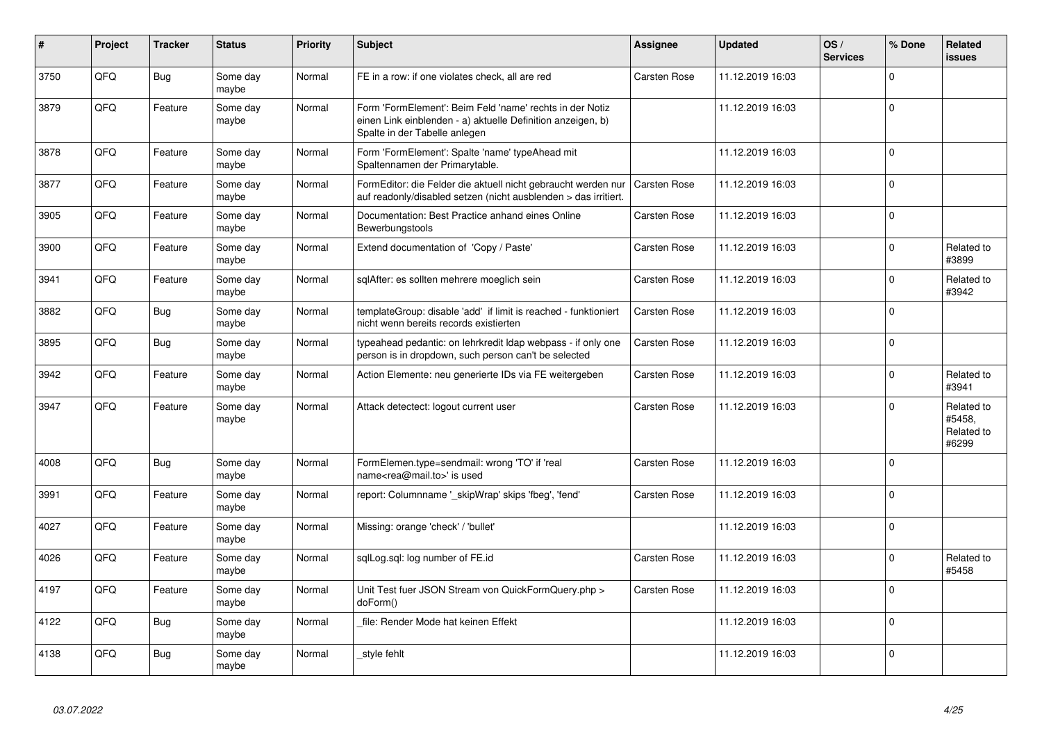| #    | Project | <b>Tracker</b> | <b>Status</b>     | <b>Priority</b> | <b>Subject</b>                                                                                                                                           | <b>Assignee</b>     | <b>Updated</b>   | OS/<br><b>Services</b> | % Done      | Related<br><b>issues</b>                    |
|------|---------|----------------|-------------------|-----------------|----------------------------------------------------------------------------------------------------------------------------------------------------------|---------------------|------------------|------------------------|-------------|---------------------------------------------|
| 3750 | QFQ     | <b>Bug</b>     | Some day<br>maybe | Normal          | FE in a row: if one violates check, all are red                                                                                                          | Carsten Rose        | 11.12.2019 16:03 |                        | $\Omega$    |                                             |
| 3879 | QFQ     | Feature        | Some day<br>maybe | Normal          | Form 'FormElement': Beim Feld 'name' rechts in der Notiz<br>einen Link einblenden - a) aktuelle Definition anzeigen, b)<br>Spalte in der Tabelle anlegen |                     | 11.12.2019 16:03 |                        | $\Omega$    |                                             |
| 3878 | QFQ     | Feature        | Some day<br>maybe | Normal          | Form 'FormElement': Spalte 'name' typeAhead mit<br>Spaltennamen der Primarytable.                                                                        |                     | 11.12.2019 16:03 |                        | 0           |                                             |
| 3877 | QFQ     | Feature        | Some day<br>maybe | Normal          | FormEditor: die Felder die aktuell nicht gebraucht werden nur<br>auf readonly/disabled setzen (nicht ausblenden > das irritiert.                         | <b>Carsten Rose</b> | 11.12.2019 16:03 |                        | $\mathbf 0$ |                                             |
| 3905 | QFQ     | Feature        | Some day<br>maybe | Normal          | Documentation: Best Practice anhand eines Online<br>Bewerbungstools                                                                                      | Carsten Rose        | 11.12.2019 16:03 |                        | $\Omega$    |                                             |
| 3900 | QFQ     | Feature        | Some day<br>maybe | Normal          | Extend documentation of 'Copy / Paste'                                                                                                                   | Carsten Rose        | 11.12.2019 16:03 |                        | $\Omega$    | Related to<br>#3899                         |
| 3941 | QFQ     | Feature        | Some day<br>maybe | Normal          | sqlAfter: es sollten mehrere moeglich sein                                                                                                               | Carsten Rose        | 11.12.2019 16:03 |                        | $\Omega$    | Related to<br>#3942                         |
| 3882 | QFQ     | <b>Bug</b>     | Some day<br>maybe | Normal          | templateGroup: disable 'add' if limit is reached - funktioniert<br>nicht wenn bereits records existierten                                                | Carsten Rose        | 11.12.2019 16:03 |                        | 0 I         |                                             |
| 3895 | QFQ     | <b>Bug</b>     | Some day<br>maybe | Normal          | typeahead pedantic: on lehrkredit Idap webpass - if only one<br>person is in dropdown, such person can't be selected                                     | Carsten Rose        | 11.12.2019 16:03 |                        | $\Omega$    |                                             |
| 3942 | QFQ     | Feature        | Some day<br>maybe | Normal          | Action Elemente: neu generierte IDs via FE weitergeben                                                                                                   | Carsten Rose        | 11.12.2019 16:03 |                        | $\Omega$    | Related to<br>#3941                         |
| 3947 | QFQ     | Feature        | Some day<br>maybe | Normal          | Attack detectect: logout current user                                                                                                                    | Carsten Rose        | 11.12.2019 16:03 |                        | $\Omega$    | Related to<br>#5458,<br>Related to<br>#6299 |
| 4008 | QFQ     | <b>Bug</b>     | Some day<br>maybe | Normal          | FormElemen.type=sendmail: wrong 'TO' if 'real<br>name <rea@mail.to>' is used</rea@mail.to>                                                               | Carsten Rose        | 11.12.2019 16:03 |                        | $\Omega$    |                                             |
| 3991 | QFQ     | Feature        | Some day<br>maybe | Normal          | report: Columnname '_skipWrap' skips 'fbeg', 'fend'                                                                                                      | Carsten Rose        | 11.12.2019 16:03 |                        | 0           |                                             |
| 4027 | QFQ     | Feature        | Some day<br>maybe | Normal          | Missing: orange 'check' / 'bullet'                                                                                                                       |                     | 11.12.2019 16:03 |                        | $\mathbf 0$ |                                             |
| 4026 | QFQ     | Feature        | Some day<br>maybe | Normal          | sqlLog.sql: log number of FE.id                                                                                                                          | Carsten Rose        | 11.12.2019 16:03 |                        | $\Omega$    | Related to<br>#5458                         |
| 4197 | QFQ     | Feature        | Some day<br>maybe | Normal          | Unit Test fuer JSON Stream von QuickFormQuery.php ><br>doForm()                                                                                          | Carsten Rose        | 11.12.2019 16:03 |                        | $\Omega$    |                                             |
| 4122 | QFQ     | <b>Bug</b>     | Some day<br>maybe | Normal          | file: Render Mode hat keinen Effekt                                                                                                                      |                     | 11.12.2019 16:03 |                        | $\Omega$    |                                             |
| 4138 | QFQ     | <b>Bug</b>     | Some day<br>maybe | Normal          | style fehlt                                                                                                                                              |                     | 11.12.2019 16:03 |                        | 0           |                                             |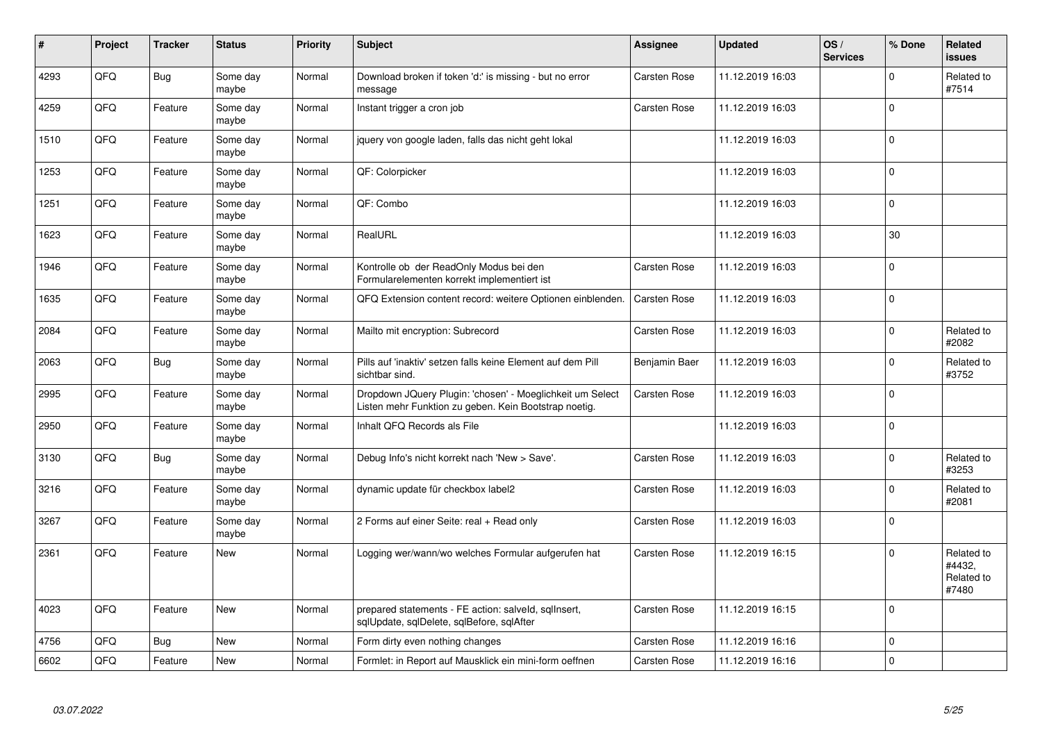| #    | Project | <b>Tracker</b> | <b>Status</b>     | <b>Priority</b> | <b>Subject</b>                                                                                                     | Assignee            | <b>Updated</b>   | OS/<br><b>Services</b> | % Done      | Related<br>issues                           |
|------|---------|----------------|-------------------|-----------------|--------------------------------------------------------------------------------------------------------------------|---------------------|------------------|------------------------|-------------|---------------------------------------------|
| 4293 | QFQ     | <b>Bug</b>     | Some day<br>maybe | Normal          | Download broken if token 'd:' is missing - but no error<br>message                                                 | Carsten Rose        | 11.12.2019 16:03 |                        | $\Omega$    | Related to<br>#7514                         |
| 4259 | QFQ     | Feature        | Some day<br>maybe | Normal          | Instant trigger a cron job                                                                                         | Carsten Rose        | 11.12.2019 16:03 |                        | $\Omega$    |                                             |
| 1510 | QFQ     | Feature        | Some day<br>maybe | Normal          | jquery von google laden, falls das nicht geht lokal                                                                |                     | 11.12.2019 16:03 |                        | $\Omega$    |                                             |
| 1253 | QFQ     | Feature        | Some day<br>maybe | Normal          | QF: Colorpicker                                                                                                    |                     | 11.12.2019 16:03 |                        | $\Omega$    |                                             |
| 1251 | QFQ     | Feature        | Some day<br>maybe | Normal          | QF: Combo                                                                                                          |                     | 11.12.2019 16:03 |                        | $\Omega$    |                                             |
| 1623 | QFQ     | Feature        | Some day<br>maybe | Normal          | RealURL                                                                                                            |                     | 11.12.2019 16:03 |                        | 30          |                                             |
| 1946 | QFQ     | Feature        | Some day<br>maybe | Normal          | Kontrolle ob der ReadOnly Modus bei den<br>Formularelementen korrekt implementiert ist                             | <b>Carsten Rose</b> | 11.12.2019 16:03 |                        | $\Omega$    |                                             |
| 1635 | QFQ     | Feature        | Some day<br>maybe | Normal          | QFQ Extension content record: weitere Optionen einblenden.                                                         | Carsten Rose        | 11.12.2019 16:03 |                        | $\Omega$    |                                             |
| 2084 | QFQ     | Feature        | Some day<br>maybe | Normal          | Mailto mit encryption: Subrecord                                                                                   | Carsten Rose        | 11.12.2019 16:03 |                        | $\Omega$    | Related to<br>#2082                         |
| 2063 | QFQ     | <b>Bug</b>     | Some day<br>maybe | Normal          | Pills auf 'inaktiv' setzen falls keine Element auf dem Pill<br>sichtbar sind.                                      | Benjamin Baer       | 11.12.2019 16:03 |                        | $\Omega$    | Related to<br>#3752                         |
| 2995 | QFQ     | Feature        | Some day<br>maybe | Normal          | Dropdown JQuery Plugin: 'chosen' - Moeglichkeit um Select<br>Listen mehr Funktion zu geben. Kein Bootstrap noetig. | Carsten Rose        | 11.12.2019 16:03 |                        | $\Omega$    |                                             |
| 2950 | QFQ     | Feature        | Some day<br>maybe | Normal          | Inhalt QFQ Records als File                                                                                        |                     | 11.12.2019 16:03 |                        | $\mathbf 0$ |                                             |
| 3130 | QFQ     | <b>Bug</b>     | Some day<br>maybe | Normal          | Debug Info's nicht korrekt nach 'New > Save'.                                                                      | Carsten Rose        | 11.12.2019 16:03 |                        | $\Omega$    | Related to<br>#3253                         |
| 3216 | QFQ     | Feature        | Some day<br>maybe | Normal          | dynamic update für checkbox label2                                                                                 | Carsten Rose        | 11.12.2019 16:03 |                        | $\Omega$    | Related to<br>#2081                         |
| 3267 | QFQ     | Feature        | Some day<br>maybe | Normal          | 2 Forms auf einer Seite: real + Read only                                                                          | Carsten Rose        | 11.12.2019 16:03 |                        | $\Omega$    |                                             |
| 2361 | QFQ     | Feature        | New               | Normal          | Logging wer/wann/wo welches Formular aufgerufen hat                                                                | Carsten Rose        | 11.12.2019 16:15 |                        | $\Omega$    | Related to<br>#4432,<br>Related to<br>#7480 |
| 4023 | QFQ     | Feature        | New               | Normal          | prepared statements - FE action: salveld, sqllnsert,<br>sqlUpdate, sqlDelete, sqlBefore, sqlAfter                  | Carsten Rose        | 11.12.2019 16:15 |                        | $\Omega$    |                                             |
| 4756 | QFQ     | <b>Bug</b>     | <b>New</b>        | Normal          | Form dirty even nothing changes                                                                                    | Carsten Rose        | 11.12.2019 16:16 |                        | $\mathbf 0$ |                                             |
| 6602 | QFQ     | Feature        | New               | Normal          | Formlet: in Report auf Mausklick ein mini-form oeffnen                                                             | Carsten Rose        | 11.12.2019 16:16 |                        | $\Omega$    |                                             |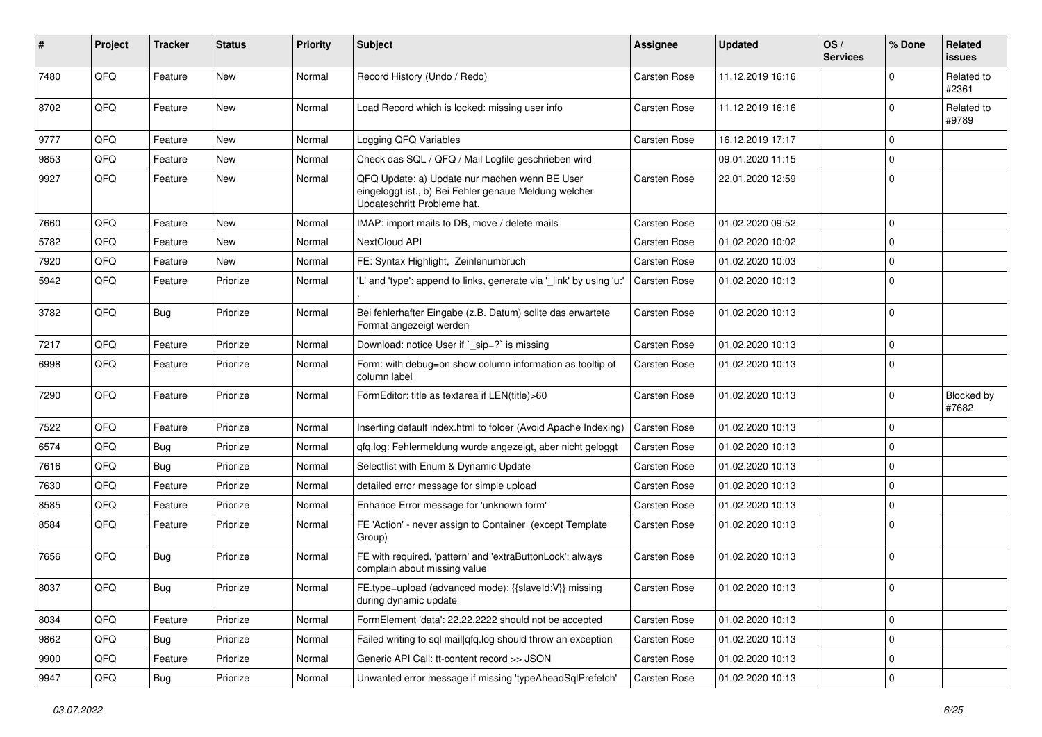| #    | <b>Project</b> | <b>Tracker</b> | <b>Status</b> | <b>Priority</b> | <b>Subject</b>                                                                                                                        | Assignee     | <b>Updated</b>   | OS/<br><b>Services</b> | % Done      | Related<br>issues   |
|------|----------------|----------------|---------------|-----------------|---------------------------------------------------------------------------------------------------------------------------------------|--------------|------------------|------------------------|-------------|---------------------|
| 7480 | QFQ            | Feature        | <b>New</b>    | Normal          | Record History (Undo / Redo)                                                                                                          | Carsten Rose | 11.12.2019 16:16 |                        | $\Omega$    | Related to<br>#2361 |
| 8702 | QFQ            | Feature        | New           | Normal          | Load Record which is locked: missing user info                                                                                        | Carsten Rose | 11.12.2019 16:16 |                        | 0           | Related to<br>#9789 |
| 9777 | QFQ            | Feature        | New           | Normal          | Logging QFQ Variables                                                                                                                 | Carsten Rose | 16.12.2019 17:17 |                        | 0           |                     |
| 9853 | QFQ            | Feature        | New           | Normal          | Check das SQL / QFQ / Mail Logfile geschrieben wird                                                                                   |              | 09.01.2020 11:15 |                        | $\mathbf 0$ |                     |
| 9927 | QFQ            | Feature        | New           | Normal          | QFQ Update: a) Update nur machen wenn BE User<br>eingeloggt ist., b) Bei Fehler genaue Meldung welcher<br>Updateschritt Probleme hat. | Carsten Rose | 22.01.2020 12:59 |                        | $\mathbf 0$ |                     |
| 7660 | QFQ            | Feature        | New           | Normal          | IMAP: import mails to DB, move / delete mails                                                                                         | Carsten Rose | 01.02.2020 09:52 |                        | $\mathbf 0$ |                     |
| 5782 | QFQ            | Feature        | New           | Normal          | NextCloud API                                                                                                                         | Carsten Rose | 01.02.2020 10:02 |                        | $\mathbf 0$ |                     |
| 7920 | QFQ            | Feature        | <b>New</b>    | Normal          | FE: Syntax Highlight, Zeinlenumbruch                                                                                                  | Carsten Rose | 01.02.2020 10:03 |                        | $\mathbf 0$ |                     |
| 5942 | QFQ            | Feature        | Priorize      | Normal          | 'L' and 'type': append to links, generate via '_link' by using 'u:'                                                                   | Carsten Rose | 01.02.2020 10:13 |                        | $\Omega$    |                     |
| 3782 | QFQ            | <b>Bug</b>     | Priorize      | Normal          | Bei fehlerhafter Eingabe (z.B. Datum) sollte das erwartete<br>Format angezeigt werden                                                 | Carsten Rose | 01.02.2020 10:13 |                        | $\mathbf 0$ |                     |
| 7217 | QFQ            | Feature        | Priorize      | Normal          | Download: notice User if `_sip=?` is missing                                                                                          | Carsten Rose | 01.02.2020 10:13 |                        | $\mathbf 0$ |                     |
| 6998 | QFQ            | Feature        | Priorize      | Normal          | Form: with debug=on show column information as tooltip of<br>column label                                                             | Carsten Rose | 01.02.2020 10:13 |                        | $\Omega$    |                     |
| 7290 | QFQ            | Feature        | Priorize      | Normal          | FormEditor: title as textarea if LEN(title)>60                                                                                        | Carsten Rose | 01.02.2020 10:13 |                        | $\mathbf 0$ | Blocked by<br>#7682 |
| 7522 | QFQ            | Feature        | Priorize      | Normal          | Inserting default index.html to folder (Avoid Apache Indexing)                                                                        | Carsten Rose | 01.02.2020 10:13 |                        | $\mathbf 0$ |                     |
| 6574 | QFQ            | <b>Bug</b>     | Priorize      | Normal          | qfq.log: Fehlermeldung wurde angezeigt, aber nicht geloggt                                                                            | Carsten Rose | 01.02.2020 10:13 |                        | $\mathbf 0$ |                     |
| 7616 | QFQ            | Bug            | Priorize      | Normal          | Selectlist with Enum & Dynamic Update                                                                                                 | Carsten Rose | 01.02.2020 10:13 |                        | $\mathbf 0$ |                     |
| 7630 | QFQ            | Feature        | Priorize      | Normal          | detailed error message for simple upload                                                                                              | Carsten Rose | 01.02.2020 10:13 |                        | $\mathbf 0$ |                     |
| 8585 | QFQ            | Feature        | Priorize      | Normal          | Enhance Error message for 'unknown form'                                                                                              | Carsten Rose | 01.02.2020 10:13 |                        | $\mathbf 0$ |                     |
| 8584 | QFQ            | Feature        | Priorize      | Normal          | FE 'Action' - never assign to Container (except Template)<br>Group)                                                                   | Carsten Rose | 01.02.2020 10:13 |                        | $\mathbf 0$ |                     |
| 7656 | QFQ            | <b>Bug</b>     | Priorize      | Normal          | FE with required, 'pattern' and 'extraButtonLock': always<br>complain about missing value                                             | Carsten Rose | 01.02.2020 10:13 |                        | $\Omega$    |                     |
| 8037 | QFQ            | Bug            | Priorize      | Normal          | FE.type=upload (advanced mode): {{slaveId:V}} missing<br>during dynamic update                                                        | Carsten Rose | 01.02.2020 10:13 |                        | 0           |                     |
| 8034 | QFQ            | Feature        | Priorize      | Normal          | FormElement 'data': 22.22.2222 should not be accepted                                                                                 | Carsten Rose | 01.02.2020 10:13 |                        | $\mathbf 0$ |                     |
| 9862 | QFQ            | <b>Bug</b>     | Priorize      | Normal          | Failed writing to sql mail qfq.log should throw an exception                                                                          | Carsten Rose | 01.02.2020 10:13 |                        | 0           |                     |
| 9900 | QFG            | Feature        | Priorize      | Normal          | Generic API Call: tt-content record >> JSON                                                                                           | Carsten Rose | 01.02.2020 10:13 |                        | 0           |                     |
| 9947 | QFG            | Bug            | Priorize      | Normal          | Unwanted error message if missing 'typeAheadSqlPrefetch'                                                                              | Carsten Rose | 01.02.2020 10:13 |                        | $\pmb{0}$   |                     |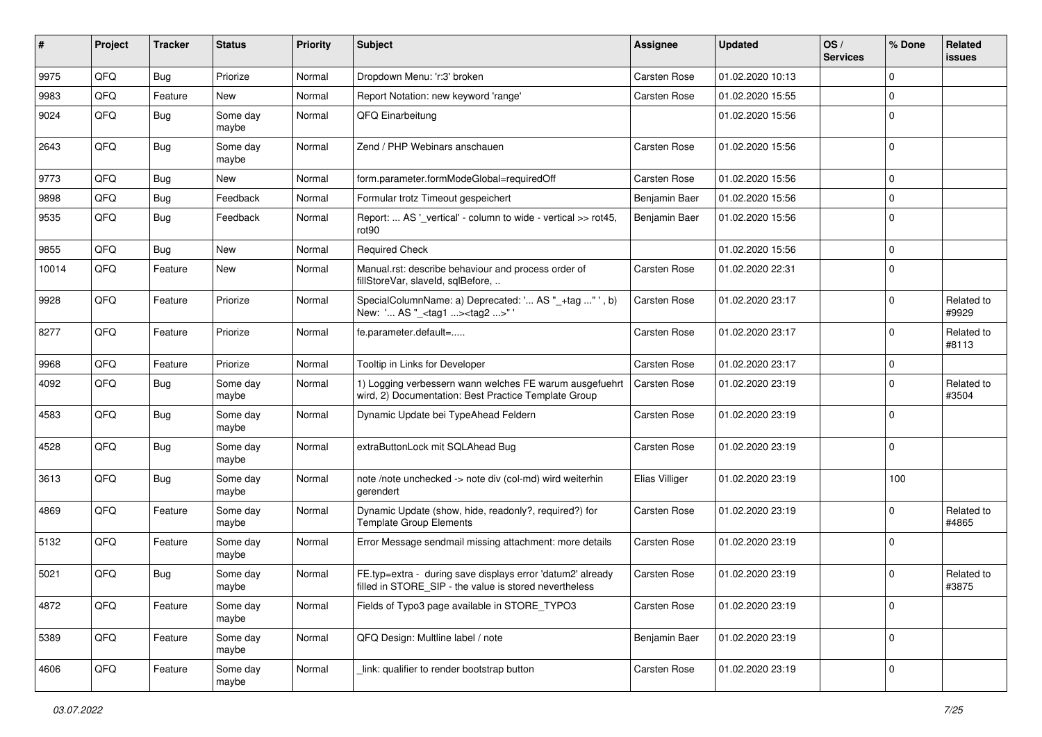| #     | Project | <b>Tracker</b> | <b>Status</b>     | <b>Priority</b> | <b>Subject</b>                                                                                                       | <b>Assignee</b>     | <b>Updated</b>   | OS/<br><b>Services</b> | % Done      | Related<br>issues   |
|-------|---------|----------------|-------------------|-----------------|----------------------------------------------------------------------------------------------------------------------|---------------------|------------------|------------------------|-------------|---------------------|
| 9975  | QFQ     | <b>Bug</b>     | Priorize          | Normal          | Dropdown Menu: 'r:3' broken                                                                                          | Carsten Rose        | 01.02.2020 10:13 |                        | $\mathbf 0$ |                     |
| 9983  | QFQ     | Feature        | New               | Normal          | Report Notation: new keyword 'range'                                                                                 | Carsten Rose        | 01.02.2020 15:55 |                        | $\mathbf 0$ |                     |
| 9024  | QFQ     | Bug            | Some day<br>maybe | Normal          | QFQ Einarbeitung                                                                                                     |                     | 01.02.2020 15:56 |                        | $\mathbf 0$ |                     |
| 2643  | QFQ     | <b>Bug</b>     | Some day<br>maybe | Normal          | Zend / PHP Webinars anschauen                                                                                        | Carsten Rose        | 01.02.2020 15:56 |                        | $\mathbf 0$ |                     |
| 9773  | QFQ     | Bug            | New               | Normal          | form.parameter.formModeGlobal=requiredOff                                                                            | Carsten Rose        | 01.02.2020 15:56 |                        | 0           |                     |
| 9898  | QFQ     | Bug            | Feedback          | Normal          | Formular trotz Timeout gespeichert                                                                                   | Benjamin Baer       | 01.02.2020 15:56 |                        | $\mathbf 0$ |                     |
| 9535  | QFQ     | <b>Bug</b>     | Feedback          | Normal          | Report:  AS '_vertical' - column to wide - vertical >> rot45,<br>rot90                                               | Benjamin Baer       | 01.02.2020 15:56 |                        | 0           |                     |
| 9855  | QFQ     | <b>Bug</b>     | <b>New</b>        | Normal          | <b>Required Check</b>                                                                                                |                     | 01.02.2020 15:56 |                        | $\mathbf 0$ |                     |
| 10014 | QFQ     | Feature        | New               | Normal          | Manual.rst: describe behaviour and process order of<br>fillStoreVar, slaveId, sqlBefore,                             | Carsten Rose        | 01.02.2020 22:31 |                        | $\mathbf 0$ |                     |
| 9928  | QFQ     | Feature        | Priorize          | Normal          | SpecialColumnName: a) Deprecated: ' AS "_+tag " ', b)<br>New: ' AS "_ <tag1><tag2>"'</tag2></tag1>                   | Carsten Rose        | 01.02.2020 23:17 |                        | $\Omega$    | Related to<br>#9929 |
| 8277  | QFQ     | Feature        | Priorize          | Normal          | fe.parameter.default=                                                                                                | Carsten Rose        | 01.02.2020 23:17 |                        | 0           | Related to<br>#8113 |
| 9968  | QFQ     | Feature        | Priorize          | Normal          | Tooltip in Links for Developer                                                                                       | Carsten Rose        | 01.02.2020 23:17 |                        | 0           |                     |
| 4092  | QFQ     | Bug            | Some day<br>maybe | Normal          | 1) Logging verbessern wann welches FE warum ausgefuehrt<br>wird, 2) Documentation: Best Practice Template Group      | <b>Carsten Rose</b> | 01.02.2020 23:19 |                        | $\mathbf 0$ | Related to<br>#3504 |
| 4583  | QFQ     | Bug            | Some day<br>maybe | Normal          | Dynamic Update bei TypeAhead Feldern                                                                                 | Carsten Rose        | 01.02.2020 23:19 |                        | $\Omega$    |                     |
| 4528  | QFQ     | <b>Bug</b>     | Some day<br>maybe | Normal          | extraButtonLock mit SQLAhead Bug                                                                                     | Carsten Rose        | 01.02.2020 23:19 |                        | $\mathbf 0$ |                     |
| 3613  | QFQ     | <b>Bug</b>     | Some day<br>maybe | Normal          | note /note unchecked -> note div (col-md) wird weiterhin<br>gerendert                                                | Elias Villiger      | 01.02.2020 23:19 |                        | 100         |                     |
| 4869  | QFQ     | Feature        | Some day<br>maybe | Normal          | Dynamic Update (show, hide, readonly?, required?) for<br><b>Template Group Elements</b>                              | Carsten Rose        | 01.02.2020 23:19 |                        | 0           | Related to<br>#4865 |
| 5132  | QFQ     | Feature        | Some day<br>maybe | Normal          | Error Message sendmail missing attachment: more details                                                              | Carsten Rose        | 01.02.2020 23:19 |                        | 0           |                     |
| 5021  | QFQ     | <b>Bug</b>     | Some day<br>maybe | Normal          | FE.typ=extra - during save displays error 'datum2' already<br>filled in STORE SIP - the value is stored nevertheless | Carsten Rose        | 01.02.2020 23:19 |                        | $\mathbf 0$ | Related to<br>#3875 |
| 4872  | QFQ     | Feature        | Some day<br>maybe | Normal          | Fields of Typo3 page available in STORE_TYPO3                                                                        | Carsten Rose        | 01.02.2020 23:19 |                        | 0           |                     |
| 5389  | QFQ     | Feature        | Some day<br>maybe | Normal          | QFQ Design: Multline label / note                                                                                    | Benjamin Baer       | 01.02.2020 23:19 |                        | 0           |                     |
| 4606  | QFG     | Feature        | Some day<br>maybe | Normal          | link: qualifier to render bootstrap button                                                                           | Carsten Rose        | 01.02.2020 23:19 |                        | 0           |                     |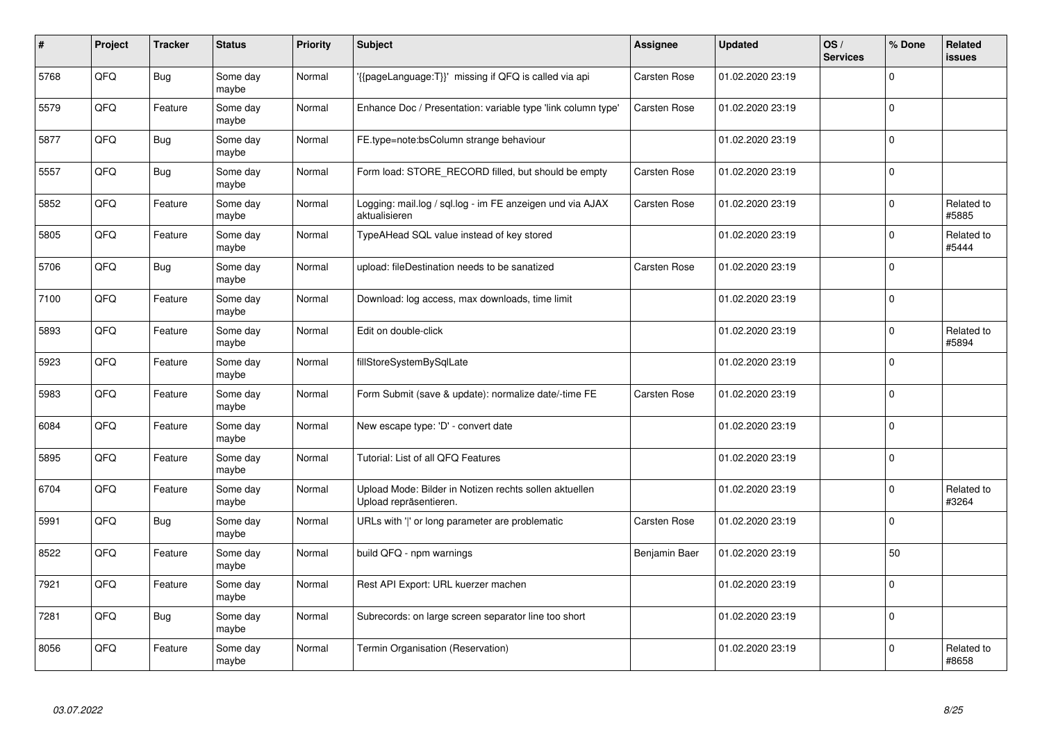| #    | Project | <b>Tracker</b> | <b>Status</b>     | <b>Priority</b> | <b>Subject</b>                                                                   | <b>Assignee</b> | <b>Updated</b>   | OS/<br><b>Services</b> | % Done      | Related<br>issues   |
|------|---------|----------------|-------------------|-----------------|----------------------------------------------------------------------------------|-----------------|------------------|------------------------|-------------|---------------------|
| 5768 | QFQ     | <b>Bug</b>     | Some day<br>maybe | Normal          | {{pageLanguage:T}}' missing if QFQ is called via api                             | Carsten Rose    | 01.02.2020 23:19 |                        | $\Omega$    |                     |
| 5579 | QFQ     | Feature        | Some day<br>maybe | Normal          | Enhance Doc / Presentation: variable type 'link column type'                     | Carsten Rose    | 01.02.2020 23:19 |                        | $\mathbf 0$ |                     |
| 5877 | QFQ     | <b>Bug</b>     | Some day<br>maybe | Normal          | FE.type=note:bsColumn strange behaviour                                          |                 | 01.02.2020 23:19 |                        | $\Omega$    |                     |
| 5557 | QFQ     | <b>Bug</b>     | Some day<br>maybe | Normal          | Form load: STORE RECORD filled, but should be empty                              | Carsten Rose    | 01.02.2020 23:19 |                        | $\Omega$    |                     |
| 5852 | QFQ     | Feature        | Some day<br>maybe | Normal          | Logging: mail.log / sql.log - im FE anzeigen und via AJAX<br>aktualisieren       | Carsten Rose    | 01.02.2020 23:19 |                        | $\Omega$    | Related to<br>#5885 |
| 5805 | QFQ     | Feature        | Some day<br>maybe | Normal          | TypeAHead SQL value instead of key stored                                        |                 | 01.02.2020 23:19 |                        | $\mathbf 0$ | Related to<br>#5444 |
| 5706 | QFQ     | <b>Bug</b>     | Some day<br>maybe | Normal          | upload: fileDestination needs to be sanatized                                    | Carsten Rose    | 01.02.2020 23:19 |                        | $\Omega$    |                     |
| 7100 | QFQ     | Feature        | Some day<br>maybe | Normal          | Download: log access, max downloads, time limit                                  |                 | 01.02.2020 23:19 |                        | $\Omega$    |                     |
| 5893 | QFQ     | Feature        | Some day<br>maybe | Normal          | Edit on double-click                                                             |                 | 01.02.2020 23:19 |                        | $\Omega$    | Related to<br>#5894 |
| 5923 | QFQ     | Feature        | Some day<br>maybe | Normal          | fillStoreSystemBySqlLate                                                         |                 | 01.02.2020 23:19 |                        | $\mathbf 0$ |                     |
| 5983 | QFQ     | Feature        | Some day<br>maybe | Normal          | Form Submit (save & update): normalize date/-time FE                             | Carsten Rose    | 01.02.2020 23:19 |                        | $\Omega$    |                     |
| 6084 | QFQ     | Feature        | Some day<br>maybe | Normal          | New escape type: 'D' - convert date                                              |                 | 01.02.2020 23:19 |                        | $\mathbf 0$ |                     |
| 5895 | QFQ     | Feature        | Some day<br>maybe | Normal          | Tutorial: List of all QFQ Features                                               |                 | 01.02.2020 23:19 |                        | $\mathbf 0$ |                     |
| 6704 | QFQ     | Feature        | Some day<br>maybe | Normal          | Upload Mode: Bilder in Notizen rechts sollen aktuellen<br>Upload repräsentieren. |                 | 01.02.2020 23:19 |                        | $\mathbf 0$ | Related to<br>#3264 |
| 5991 | QFQ     | <b>Bug</b>     | Some day<br>maybe | Normal          | URLs with ' ' or long parameter are problematic                                  | Carsten Rose    | 01.02.2020 23:19 |                        | $\mathbf 0$ |                     |
| 8522 | QFQ     | Feature        | Some day<br>maybe | Normal          | build QFQ - npm warnings                                                         | Benjamin Baer   | 01.02.2020 23:19 |                        | 50          |                     |
| 7921 | QFQ     | Feature        | Some day<br>maybe | Normal          | Rest API Export: URL kuerzer machen                                              |                 | 01.02.2020 23:19 |                        | $\mathbf 0$ |                     |
| 7281 | QFQ     | <b>Bug</b>     | Some day<br>maybe | Normal          | Subrecords: on large screen separator line too short                             |                 | 01.02.2020 23:19 |                        | $\mathbf 0$ |                     |
| 8056 | QFQ     | Feature        | Some day<br>maybe | Normal          | Termin Organisation (Reservation)                                                |                 | 01.02.2020 23:19 |                        | $\Omega$    | Related to<br>#8658 |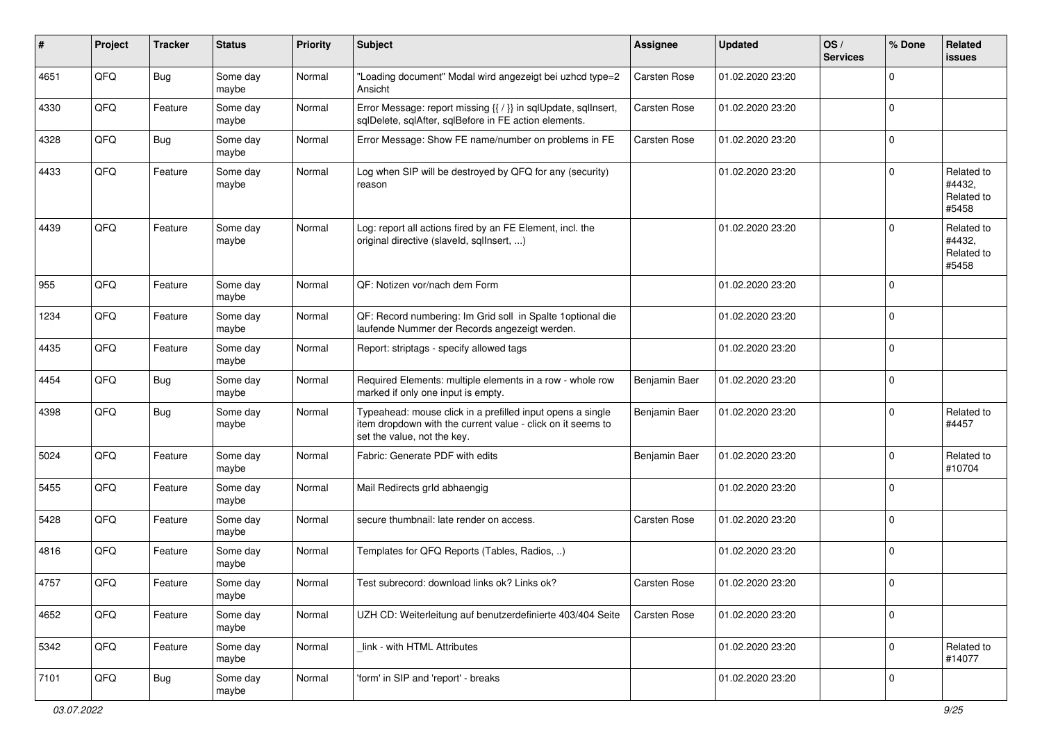| #    | Project | <b>Tracker</b> | <b>Status</b>     | <b>Priority</b> | <b>Subject</b>                                                                                                                                           | <b>Assignee</b>     | <b>Updated</b>   | OS/<br><b>Services</b> | % Done      | Related<br><b>issues</b>                    |
|------|---------|----------------|-------------------|-----------------|----------------------------------------------------------------------------------------------------------------------------------------------------------|---------------------|------------------|------------------------|-------------|---------------------------------------------|
| 4651 | QFQ     | Bug            | Some day<br>maybe | Normal          | "Loading document" Modal wird angezeigt bei uzhcd type=2<br>Ansicht                                                                                      | <b>Carsten Rose</b> | 01.02.2020 23:20 |                        | 0           |                                             |
| 4330 | QFQ     | Feature        | Some day<br>maybe | Normal          | Error Message: report missing {{ / }} in sqlUpdate, sqlInsert,<br>sqlDelete, sqlAfter, sqlBefore in FE action elements.                                  | <b>Carsten Rose</b> | 01.02.2020 23:20 |                        | $\mathbf 0$ |                                             |
| 4328 | QFQ     | <b>Bug</b>     | Some day<br>maybe | Normal          | Error Message: Show FE name/number on problems in FE                                                                                                     | Carsten Rose        | 01.02.2020 23:20 |                        | 0           |                                             |
| 4433 | QFQ     | Feature        | Some day<br>maybe | Normal          | Log when SIP will be destroyed by QFQ for any (security)<br>reason                                                                                       |                     | 01.02.2020 23:20 |                        | $\Omega$    | Related to<br>#4432,<br>Related to<br>#5458 |
| 4439 | QFQ     | Feature        | Some day<br>maybe | Normal          | Log: report all actions fired by an FE Element, incl. the<br>original directive (slaveld, sqlInsert, )                                                   |                     | 01.02.2020 23:20 |                        | 0           | Related to<br>#4432,<br>Related to<br>#5458 |
| 955  | QFQ     | Feature        | Some day<br>maybe | Normal          | QF: Notizen vor/nach dem Form                                                                                                                            |                     | 01.02.2020 23:20 |                        | $\Omega$    |                                             |
| 1234 | QFQ     | Feature        | Some day<br>maybe | Normal          | QF: Record numbering: Im Grid soll in Spalte 1 optional die<br>laufende Nummer der Records angezeigt werden.                                             |                     | 01.02.2020 23:20 |                        | $\Omega$    |                                             |
| 4435 | QFQ     | Feature        | Some day<br>maybe | Normal          | Report: striptags - specify allowed tags                                                                                                                 |                     | 01.02.2020 23:20 |                        | $\Omega$    |                                             |
| 4454 | QFQ     | <b>Bug</b>     | Some day<br>maybe | Normal          | Required Elements: multiple elements in a row - whole row<br>marked if only one input is empty.                                                          | Benjamin Baer       | 01.02.2020 23:20 |                        | $\Omega$    |                                             |
| 4398 | QFQ     | <b>Bug</b>     | Some day<br>maybe | Normal          | Typeahead: mouse click in a prefilled input opens a single<br>item dropdown with the current value - click on it seems to<br>set the value, not the key. | Benjamin Baer       | 01.02.2020 23:20 |                        | $\Omega$    | Related to<br>#4457                         |
| 5024 | QFQ     | Feature        | Some day<br>maybe | Normal          | Fabric: Generate PDF with edits                                                                                                                          | Benjamin Baer       | 01.02.2020 23:20 |                        | $\Omega$    | Related to<br>#10704                        |
| 5455 | QFQ     | Feature        | Some day<br>maybe | Normal          | Mail Redirects grld abhaengig                                                                                                                            |                     | 01.02.2020 23:20 |                        | $\Omega$    |                                             |
| 5428 | QFQ     | Feature        | Some day<br>maybe | Normal          | secure thumbnail: late render on access.                                                                                                                 | Carsten Rose        | 01.02.2020 23:20 |                        | $\mathbf 0$ |                                             |
| 4816 | QFQ     | Feature        | Some day<br>maybe | Normal          | Templates for QFQ Reports (Tables, Radios, )                                                                                                             |                     | 01.02.2020 23:20 |                        | $\mathbf 0$ |                                             |
| 4757 | QFQ     | Feature        | Some day<br>maybe | Normal          | Test subrecord: download links ok? Links ok?                                                                                                             | <b>Carsten Rose</b> | 01.02.2020 23:20 |                        | $\mathbf 0$ |                                             |
| 4652 | QFQ     | Feature        | Some day<br>maybe | Normal          | UZH CD: Weiterleitung auf benutzerdefinierte 403/404 Seite                                                                                               | <b>Carsten Rose</b> | 01.02.2020 23:20 |                        | $\mathbf 0$ |                                             |
| 5342 | QFG     | Feature        | Some day<br>maybe | Normal          | link - with HTML Attributes                                                                                                                              |                     | 01.02.2020 23:20 |                        | $\mathbf 0$ | Related to<br>#14077                        |
| 7101 | QFG     | <b>Bug</b>     | Some day<br>maybe | Normal          | 'form' in SIP and 'report' - breaks                                                                                                                      |                     | 01.02.2020 23:20 |                        | 0           |                                             |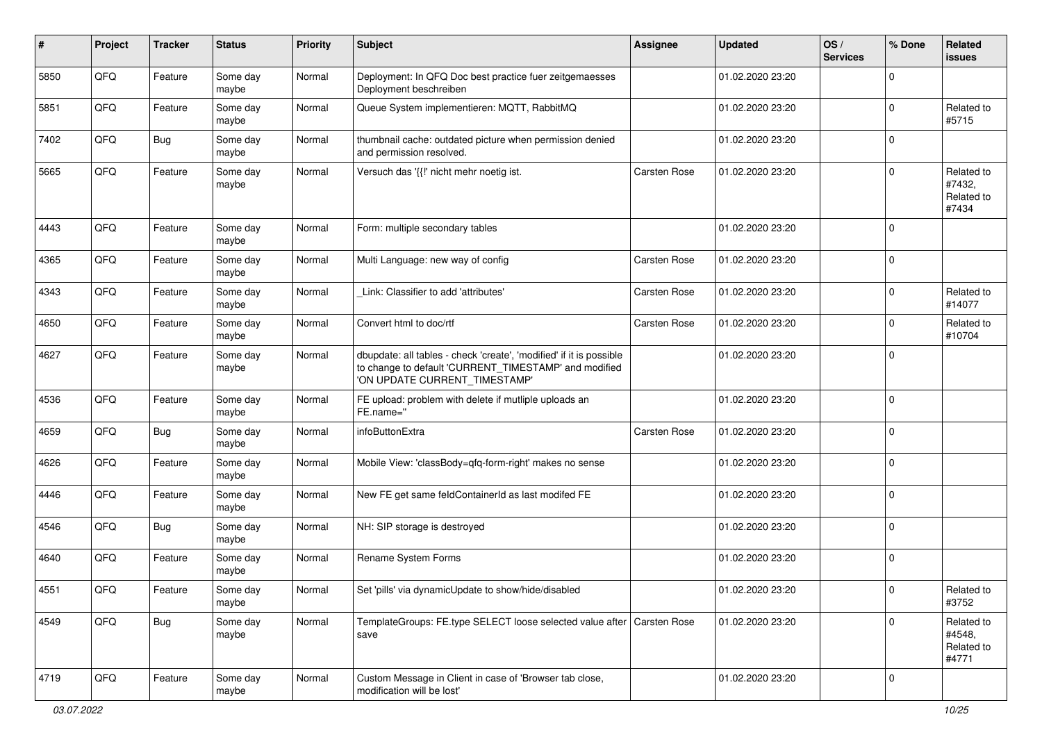| ∦    | Project | <b>Tracker</b> | <b>Status</b>     | <b>Priority</b> | <b>Subject</b>                                                                                                                                                | <b>Assignee</b>     | <b>Updated</b>   | OS/<br><b>Services</b> | % Done      | Related<br>issues                           |
|------|---------|----------------|-------------------|-----------------|---------------------------------------------------------------------------------------------------------------------------------------------------------------|---------------------|------------------|------------------------|-------------|---------------------------------------------|
| 5850 | QFQ     | Feature        | Some day<br>maybe | Normal          | Deployment: In QFQ Doc best practice fuer zeitgemaesses<br>Deployment beschreiben                                                                             |                     | 01.02.2020 23:20 |                        | $\Omega$    |                                             |
| 5851 | QFQ     | Feature        | Some day<br>maybe | Normal          | Queue System implementieren: MQTT, RabbitMQ                                                                                                                   |                     | 01.02.2020 23:20 |                        | $\Omega$    | Related to<br>#5715                         |
| 7402 | QFQ     | <b>Bug</b>     | Some day<br>maybe | Normal          | thumbnail cache: outdated picture when permission denied<br>and permission resolved.                                                                          |                     | 01.02.2020 23:20 |                        | $\Omega$    |                                             |
| 5665 | QFQ     | Feature        | Some day<br>maybe | Normal          | Versuch das '{{!' nicht mehr noetig ist.                                                                                                                      | Carsten Rose        | 01.02.2020 23:20 |                        | $\Omega$    | Related to<br>#7432,<br>Related to<br>#7434 |
| 4443 | QFQ     | Feature        | Some day<br>maybe | Normal          | Form: multiple secondary tables                                                                                                                               |                     | 01.02.2020 23:20 |                        | $\Omega$    |                                             |
| 4365 | QFQ     | Feature        | Some day<br>maybe | Normal          | Multi Language: new way of config                                                                                                                             | <b>Carsten Rose</b> | 01.02.2020 23:20 |                        | $\Omega$    |                                             |
| 4343 | QFQ     | Feature        | Some day<br>maybe | Normal          | Link: Classifier to add 'attributes'                                                                                                                          | Carsten Rose        | 01.02.2020 23:20 |                        | $\Omega$    | Related to<br>#14077                        |
| 4650 | QFQ     | Feature        | Some day<br>maybe | Normal          | Convert html to doc/rtf                                                                                                                                       | Carsten Rose        | 01.02.2020 23:20 |                        | $\Omega$    | Related to<br>#10704                        |
| 4627 | QFQ     | Feature        | Some day<br>maybe | Normal          | dbupdate: all tables - check 'create', 'modified' if it is possible<br>to change to default 'CURRENT_TIMESTAMP' and modified<br>'ON UPDATE CURRENT TIMESTAMP' |                     | 01.02.2020 23:20 |                        | $\Omega$    |                                             |
| 4536 | QFQ     | Feature        | Some day<br>maybe | Normal          | FE upload: problem with delete if mutliple uploads an<br>FE.name="                                                                                            |                     | 01.02.2020 23:20 |                        | $\Omega$    |                                             |
| 4659 | QFQ     | <b>Bug</b>     | Some day<br>maybe | Normal          | infoButtonExtra                                                                                                                                               | Carsten Rose        | 01.02.2020 23:20 |                        | $\Omega$    |                                             |
| 4626 | QFQ     | Feature        | Some day<br>maybe | Normal          | Mobile View: 'classBody=qfq-form-right' makes no sense                                                                                                        |                     | 01.02.2020 23:20 |                        | 0           |                                             |
| 4446 | QFQ     | Feature        | Some day<br>maybe | Normal          | New FE get same feldContainerId as last modifed FE                                                                                                            |                     | 01.02.2020 23:20 |                        | $\Omega$    |                                             |
| 4546 | QFQ     | <b>Bug</b>     | Some day<br>maybe | Normal          | NH: SIP storage is destroyed                                                                                                                                  |                     | 01.02.2020 23:20 |                        | $\Omega$    |                                             |
| 4640 | QFQ     | Feature        | Some day<br>maybe | Normal          | Rename System Forms                                                                                                                                           |                     | 01.02.2020 23:20 |                        | $\Omega$    |                                             |
| 4551 | QFG     | Feature        | Some day<br>maybe | Normal          | Set 'pills' via dynamicUpdate to show/hide/disabled                                                                                                           |                     | 01.02.2020 23:20 |                        | $\vert$ 0   | Related to<br>#3752                         |
| 4549 | QFQ     | <b>Bug</b>     | Some day<br>maybe | Normal          | TemplateGroups: FE.type SELECT loose selected value after Carsten Rose<br>save                                                                                |                     | 01.02.2020 23:20 |                        | $\mathbf 0$ | Related to<br>#4548,<br>Related to<br>#4771 |
| 4719 | QFQ     | Feature        | Some day<br>maybe | Normal          | Custom Message in Client in case of 'Browser tab close,<br>modification will be lost'                                                                         |                     | 01.02.2020 23:20 |                        | l 0         |                                             |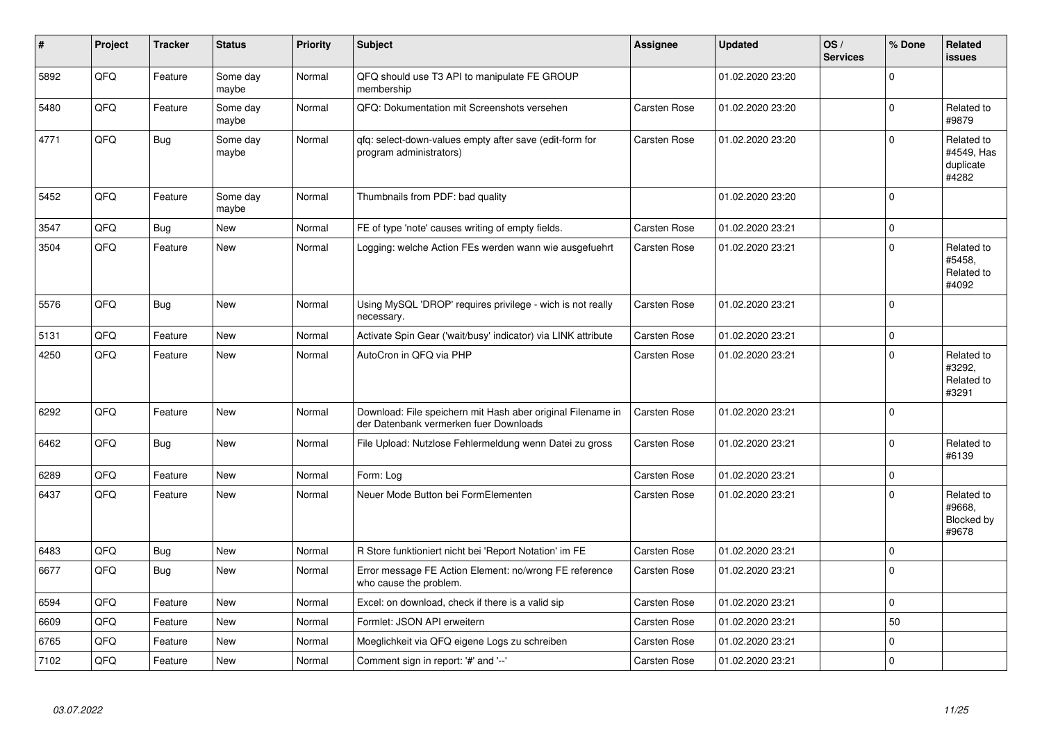| #    | Project | <b>Tracker</b> | <b>Status</b>     | <b>Priority</b> | <b>Subject</b>                                                                                        | <b>Assignee</b>     | <b>Updated</b>   | OS/<br><b>Services</b> | % Done         | Related<br>issues                              |
|------|---------|----------------|-------------------|-----------------|-------------------------------------------------------------------------------------------------------|---------------------|------------------|------------------------|----------------|------------------------------------------------|
| 5892 | QFQ     | Feature        | Some day<br>maybe | Normal          | QFQ should use T3 API to manipulate FE GROUP<br>membership                                            |                     | 01.02.2020 23:20 |                        | $\mathbf 0$    |                                                |
| 5480 | QFQ     | Feature        | Some day<br>maybe | Normal          | QFQ: Dokumentation mit Screenshots versehen                                                           | <b>Carsten Rose</b> | 01.02.2020 23:20 |                        | $\overline{0}$ | Related to<br>#9879                            |
| 4771 | QFQ     | <b>Bug</b>     | Some day<br>maybe | Normal          | qfq: select-down-values empty after save (edit-form for<br>program administrators)                    | Carsten Rose        | 01.02.2020 23:20 |                        | $\Omega$       | Related to<br>#4549, Has<br>duplicate<br>#4282 |
| 5452 | QFQ     | Feature        | Some day<br>maybe | Normal          | Thumbnails from PDF: bad quality                                                                      |                     | 01.02.2020 23:20 |                        | $\mathbf 0$    |                                                |
| 3547 | QFQ     | <b>Bug</b>     | New               | Normal          | FE of type 'note' causes writing of empty fields.                                                     | <b>Carsten Rose</b> | 01.02.2020 23:21 |                        | $\mathsf{O}$   |                                                |
| 3504 | QFQ     | Feature        | New               | Normal          | Logging: welche Action FEs werden wann wie ausgefuehrt                                                | <b>Carsten Rose</b> | 01.02.2020 23:21 |                        | $\mathbf 0$    | Related to<br>#5458,<br>Related to<br>#4092    |
| 5576 | QFQ     | <b>Bug</b>     | <b>New</b>        | Normal          | Using MySQL 'DROP' requires privilege - wich is not really<br>necessary.                              | Carsten Rose        | 01.02.2020 23:21 |                        | $\mathbf 0$    |                                                |
| 5131 | QFQ     | Feature        | New               | Normal          | Activate Spin Gear ('wait/busy' indicator) via LINK attribute                                         | <b>Carsten Rose</b> | 01.02.2020 23:21 |                        | 0              |                                                |
| 4250 | QFQ     | Feature        | New               | Normal          | AutoCron in QFQ via PHP                                                                               | Carsten Rose        | 01.02.2020 23:21 |                        | $\mathbf 0$    | Related to<br>#3292,<br>Related to<br>#3291    |
| 6292 | QFQ     | Feature        | New               | Normal          | Download: File speichern mit Hash aber original Filename in<br>der Datenbank vermerken fuer Downloads | <b>Carsten Rose</b> | 01.02.2020 23:21 |                        | $\Omega$       |                                                |
| 6462 | QFQ     | <b>Bug</b>     | <b>New</b>        | Normal          | File Upload: Nutzlose Fehlermeldung wenn Datei zu gross                                               | <b>Carsten Rose</b> | 01.02.2020 23:21 |                        | $\Omega$       | Related to<br>#6139                            |
| 6289 | QFQ     | Feature        | New               | Normal          | Form: Log                                                                                             | <b>Carsten Rose</b> | 01.02.2020 23:21 |                        | $\mathbf 0$    |                                                |
| 6437 | QFQ     | Feature        | <b>New</b>        | Normal          | Neuer Mode Button bei FormElementen                                                                   | Carsten Rose        | 01.02.2020 23:21 |                        | $\mathbf 0$    | Related to<br>#9668.<br>Blocked by<br>#9678    |
| 6483 | QFQ     | <b>Bug</b>     | New               | Normal          | R Store funktioniert nicht bei 'Report Notation' im FE                                                | <b>Carsten Rose</b> | 01.02.2020 23:21 |                        | $\mathbf 0$    |                                                |
| 6677 | QFQ     | Bug            | New               | Normal          | Error message FE Action Element: no/wrong FE reference<br>who cause the problem.                      | <b>Carsten Rose</b> | 01.02.2020 23:21 |                        | $\mathbf 0$    |                                                |
| 6594 | QFQ     | Feature        | New               | Normal          | Excel: on download, check if there is a valid sip                                                     | Carsten Rose        | 01.02.2020 23:21 |                        | $\mathbf 0$    |                                                |
| 6609 | QFQ     | Feature        | New               | Normal          | Formlet: JSON API erweitern                                                                           | Carsten Rose        | 01.02.2020 23:21 |                        | 50             |                                                |
| 6765 | QFQ     | Feature        | <b>New</b>        | Normal          | Moeglichkeit via QFQ eigene Logs zu schreiben                                                         | Carsten Rose        | 01.02.2020 23:21 |                        | $\mathbf 0$    |                                                |
| 7102 | QFQ     | Feature        | New               | Normal          | Comment sign in report: '#' and '--'                                                                  | <b>Carsten Rose</b> | 01.02.2020 23:21 |                        | $\Omega$       |                                                |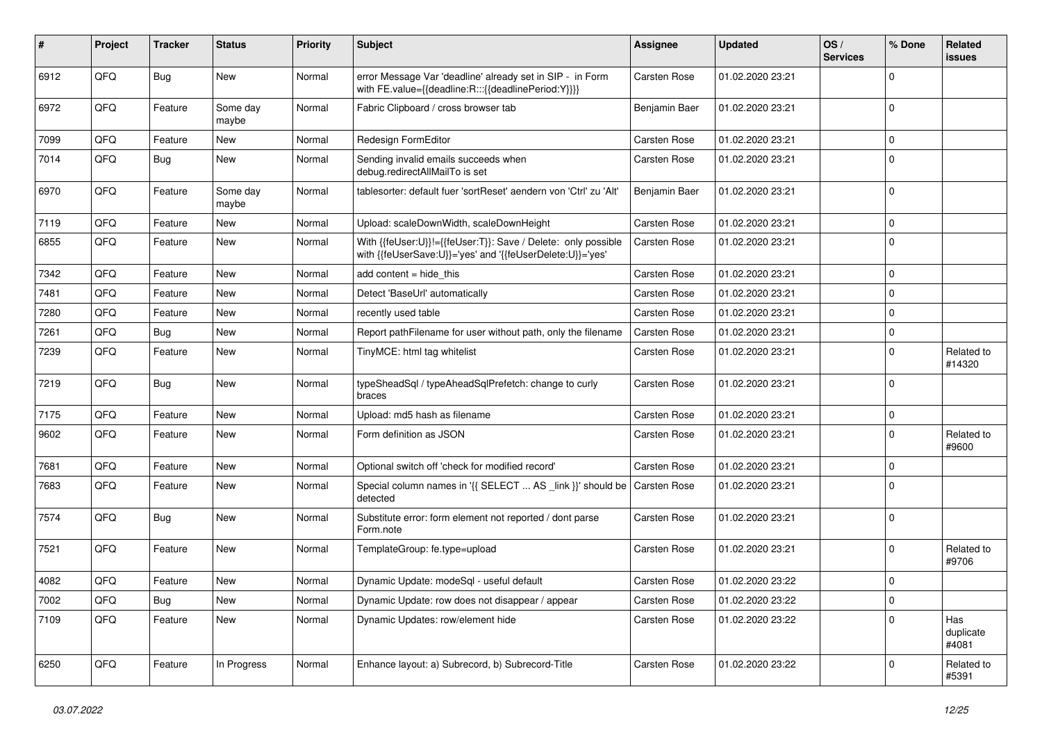| #    | Project | <b>Tracker</b> | <b>Status</b>     | <b>Priority</b> | <b>Subject</b>                                                                                                             | <b>Assignee</b>     | <b>Updated</b>   | OS/<br><b>Services</b> | % Done      | Related<br>issues         |
|------|---------|----------------|-------------------|-----------------|----------------------------------------------------------------------------------------------------------------------------|---------------------|------------------|------------------------|-------------|---------------------------|
| 6912 | QFQ     | <b>Bug</b>     | New               | Normal          | error Message Var 'deadline' already set in SIP - in Form<br>with FE.value={{deadline:R:::{{deadlinePeriod:Y}}}}           | Carsten Rose        | 01.02.2020 23:21 |                        | $\mathbf 0$ |                           |
| 6972 | QFQ     | Feature        | Some day<br>maybe | Normal          | Fabric Clipboard / cross browser tab                                                                                       | Benjamin Baer       | 01.02.2020 23:21 |                        | $\mathbf 0$ |                           |
| 7099 | QFQ     | Feature        | New               | Normal          | Redesign FormEditor                                                                                                        | Carsten Rose        | 01.02.2020 23:21 |                        | 0           |                           |
| 7014 | QFQ     | <b>Bug</b>     | New               | Normal          | Sending invalid emails succeeds when<br>debug.redirectAllMailTo is set                                                     | Carsten Rose        | 01.02.2020 23:21 |                        | 0           |                           |
| 6970 | QFQ     | Feature        | Some day<br>maybe | Normal          | tablesorter: default fuer 'sortReset' aendern von 'Ctrl' zu 'Alt'                                                          | Benjamin Baer       | 01.02.2020 23:21 |                        | 0           |                           |
| 7119 | QFQ     | Feature        | New               | Normal          | Upload: scaleDownWidth, scaleDownHeight                                                                                    | <b>Carsten Rose</b> | 01.02.2020 23:21 |                        | 0           |                           |
| 6855 | QFQ     | Feature        | New               | Normal          | With {{feUser:U}}!={{feUser:T}}: Save / Delete: only possible<br>with {{feUserSave:U}}='yes' and '{{feUserDelete:U}}='yes' | Carsten Rose        | 01.02.2020 23:21 |                        | 0           |                           |
| 7342 | QFQ     | Feature        | <b>New</b>        | Normal          | add content $=$ hide this                                                                                                  | Carsten Rose        | 01.02.2020 23:21 |                        | $\mathbf 0$ |                           |
| 7481 | QFQ     | Feature        | New               | Normal          | Detect 'BaseUrl' automatically                                                                                             | Carsten Rose        | 01.02.2020 23:21 |                        | 0           |                           |
| 7280 | QFQ     | Feature        | New               | Normal          | recently used table                                                                                                        | Carsten Rose        | 01.02.2020 23:21 |                        | 0           |                           |
| 7261 | QFQ     | Bug            | New               | Normal          | Report pathFilename for user without path, only the filename                                                               | <b>Carsten Rose</b> | 01.02.2020 23:21 |                        | 0           |                           |
| 7239 | QFQ     | Feature        | New               | Normal          | TinyMCE: html tag whitelist                                                                                                | Carsten Rose        | 01.02.2020 23:21 |                        | $\mathbf 0$ | Related to<br>#14320      |
| 7219 | QFQ     | Bug            | New               | Normal          | typeSheadSql / typeAheadSqlPrefetch: change to curly<br>braces                                                             | Carsten Rose        | 01.02.2020 23:21 |                        | 0           |                           |
| 7175 | QFQ     | Feature        | New               | Normal          | Upload: md5 hash as filename                                                                                               | <b>Carsten Rose</b> | 01.02.2020 23:21 |                        | 0           |                           |
| 9602 | QFQ     | Feature        | New               | Normal          | Form definition as JSON                                                                                                    | Carsten Rose        | 01.02.2020 23:21 |                        | $\mathbf 0$ | Related to<br>#9600       |
| 7681 | QFQ     | Feature        | New               | Normal          | Optional switch off 'check for modified record'                                                                            | Carsten Rose        | 01.02.2020 23:21 |                        | 0           |                           |
| 7683 | QFQ     | Feature        | New               | Normal          | Special column names in '{{ SELECT  AS _link }}' should be Carsten Rose<br>detected                                        |                     | 01.02.2020 23:21 |                        | $\mathbf 0$ |                           |
| 7574 | QFQ     | Bug            | New               | Normal          | Substitute error: form element not reported / dont parse<br>Form.note                                                      | Carsten Rose        | 01.02.2020 23:21 |                        | $\mathbf 0$ |                           |
| 7521 | QFQ     | Feature        | New               | Normal          | TemplateGroup: fe.type=upload                                                                                              | Carsten Rose        | 01.02.2020 23:21 |                        | 0           | Related to<br>#9706       |
| 4082 | QFQ     | Feature        | New               | Normal          | Dynamic Update: modeSql - useful default                                                                                   | Carsten Rose        | 01.02.2020 23:22 |                        | 0           |                           |
| 7002 | QFQ     | <b>Bug</b>     | New               | Normal          | Dynamic Update: row does not disappear / appear                                                                            | Carsten Rose        | 01.02.2020 23:22 |                        | $\mathbf 0$ |                           |
| 7109 | QFQ     | Feature        | New               | Normal          | Dynamic Updates: row/element hide                                                                                          | Carsten Rose        | 01.02.2020 23:22 |                        | 0           | Has<br>duplicate<br>#4081 |
| 6250 | QFQ     | Feature        | In Progress       | Normal          | Enhance layout: a) Subrecord, b) Subrecord-Title                                                                           | Carsten Rose        | 01.02.2020 23:22 |                        | 0           | Related to<br>#5391       |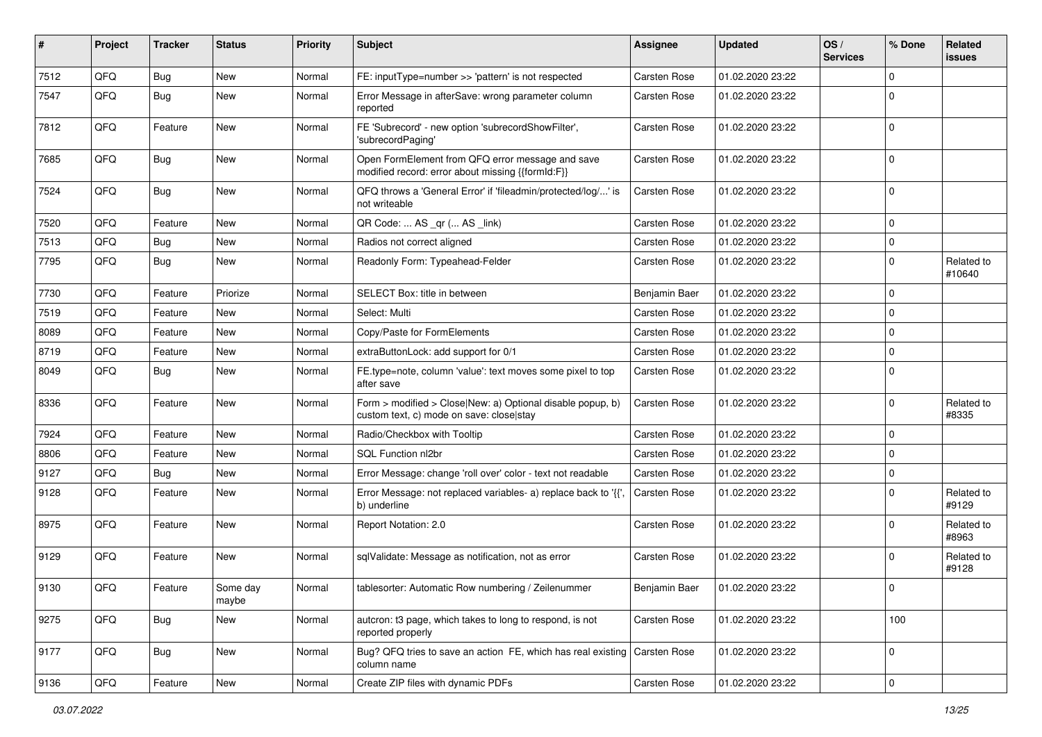| #    | Project | <b>Tracker</b> | <b>Status</b>     | <b>Priority</b> | Subject                                                                                                | Assignee            | <b>Updated</b>   | OS/<br><b>Services</b> | % Done       | Related<br>issues    |
|------|---------|----------------|-------------------|-----------------|--------------------------------------------------------------------------------------------------------|---------------------|------------------|------------------------|--------------|----------------------|
| 7512 | QFQ     | Bug            | New               | Normal          | FE: inputType=number >> 'pattern' is not respected                                                     | Carsten Rose        | 01.02.2020 23:22 |                        | $\mathbf 0$  |                      |
| 7547 | QFQ     | Bug            | <b>New</b>        | Normal          | Error Message in afterSave: wrong parameter column<br>reported                                         | Carsten Rose        | 01.02.2020 23:22 |                        | $\mathbf 0$  |                      |
| 7812 | QFQ     | Feature        | New               | Normal          | FE 'Subrecord' - new option 'subrecordShowFilter',<br>'subrecordPaging'                                | Carsten Rose        | 01.02.2020 23:22 |                        | $\mathbf 0$  |                      |
| 7685 | QFQ     | <b>Bug</b>     | New               | Normal          | Open FormElement from QFQ error message and save<br>modified record: error about missing {{formId:F}}  | Carsten Rose        | 01.02.2020 23:22 |                        | $\mathbf 0$  |                      |
| 7524 | QFQ     | Bug            | New               | Normal          | QFQ throws a 'General Error' if 'fileadmin/protected/log/' is<br>not writeable                         | Carsten Rose        | 01.02.2020 23:22 |                        | $\mathbf 0$  |                      |
| 7520 | QFQ     | Feature        | New               | Normal          | QR Code:  AS _qr ( AS _link)                                                                           | Carsten Rose        | 01.02.2020 23:22 |                        | $\mathbf 0$  |                      |
| 7513 | QFQ     | <b>Bug</b>     | <b>New</b>        | Normal          | Radios not correct aligned                                                                             | Carsten Rose        | 01.02.2020 23:22 |                        | $\mathbf 0$  |                      |
| 7795 | QFQ     | Bug            | New               | Normal          | Readonly Form: Typeahead-Felder                                                                        | Carsten Rose        | 01.02.2020 23:22 |                        | $\mathbf 0$  | Related to<br>#10640 |
| 7730 | QFQ     | Feature        | Priorize          | Normal          | SELECT Box: title in between                                                                           | Benjamin Baer       | 01.02.2020 23:22 |                        | $\mathbf 0$  |                      |
| 7519 | QFQ     | Feature        | <b>New</b>        | Normal          | Select: Multi                                                                                          | Carsten Rose        | 01.02.2020 23:22 |                        | $\mathbf 0$  |                      |
| 8089 | QFQ     | Feature        | New               | Normal          | Copy/Paste for FormElements                                                                            | Carsten Rose        | 01.02.2020 23:22 |                        | $\mathbf 0$  |                      |
| 8719 | QFQ     | Feature        | <b>New</b>        | Normal          | extraButtonLock: add support for 0/1                                                                   | Carsten Rose        | 01.02.2020 23:22 |                        | $\mathbf 0$  |                      |
| 8049 | QFQ     | Bug            | New               | Normal          | FE.type=note, column 'value': text moves some pixel to top<br>after save                               | Carsten Rose        | 01.02.2020 23:22 |                        | $\Omega$     |                      |
| 8336 | QFQ     | Feature        | <b>New</b>        | Normal          | Form > modified > Close New: a) Optional disable popup, b)<br>custom text, c) mode on save: close stay | Carsten Rose        | 01.02.2020 23:22 |                        | $\mathbf 0$  | Related to<br>#8335  |
| 7924 | QFQ     | Feature        | <b>New</b>        | Normal          | Radio/Checkbox with Tooltip                                                                            | Carsten Rose        | 01.02.2020 23:22 |                        | $\mathbf 0$  |                      |
| 8806 | QFQ     | Feature        | New               | Normal          | SQL Function nl2br                                                                                     | Carsten Rose        | 01.02.2020 23:22 |                        | $\mathbf 0$  |                      |
| 9127 | QFQ     | Bug            | New               | Normal          | Error Message: change 'roll over' color - text not readable                                            | Carsten Rose        | 01.02.2020 23:22 |                        | $\mathbf 0$  |                      |
| 9128 | QFQ     | Feature        | <b>New</b>        | Normal          | Error Message: not replaced variables- a) replace back to '{'<br>b) underline                          | <b>Carsten Rose</b> | 01.02.2020 23:22 |                        | $\mathbf 0$  | Related to<br>#9129  |
| 8975 | QFQ     | Feature        | <b>New</b>        | Normal          | Report Notation: 2.0                                                                                   | Carsten Rose        | 01.02.2020 23:22 |                        | $\mathbf 0$  | Related to<br>#8963  |
| 9129 | QFQ     | Feature        | New               | Normal          | sqlValidate: Message as notification, not as error                                                     | Carsten Rose        | 01.02.2020 23:22 |                        | $\Omega$     | Related to<br>#9128  |
| 9130 | QFQ     | Feature        | Some day<br>maybe | Normal          | tablesorter: Automatic Row numbering / Zeilenummer                                                     | Benjamin Baer       | 01.02.2020 23:22 |                        | 0            |                      |
| 9275 | QFQ     | Bug            | New               | Normal          | autcron: t3 page, which takes to long to respond, is not<br>reported properly                          | Carsten Rose        | 01.02.2020 23:22 |                        | 100          |                      |
| 9177 | QFQ     | <b>Bug</b>     | New               | Normal          | Bug? QFQ tries to save an action FE, which has real existing Carsten Rose<br>column name               |                     | 01.02.2020 23:22 |                        | $\mathsf{O}$ |                      |
| 9136 | QFQ     | Feature        | New               | Normal          | Create ZIP files with dynamic PDFs                                                                     | Carsten Rose        | 01.02.2020 23:22 |                        | $\mathbf 0$  |                      |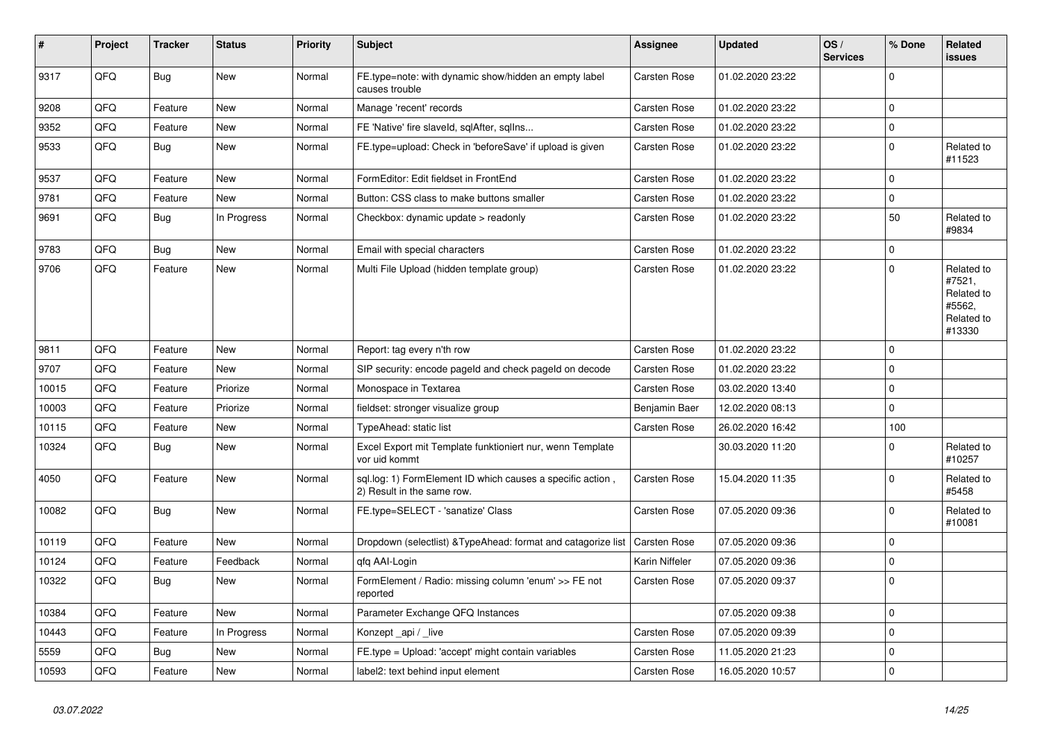| $\vert$ # | Project | <b>Tracker</b> | <b>Status</b> | <b>Priority</b> | <b>Subject</b>                                                                           | <b>Assignee</b>     | <b>Updated</b>   | OS/<br><b>Services</b> | % Done      | Related<br>issues                                                    |
|-----------|---------|----------------|---------------|-----------------|------------------------------------------------------------------------------------------|---------------------|------------------|------------------------|-------------|----------------------------------------------------------------------|
| 9317      | QFQ     | <b>Bug</b>     | New           | Normal          | FE.type=note: with dynamic show/hidden an empty label<br>causes trouble                  | Carsten Rose        | 01.02.2020 23:22 |                        | $\mathbf 0$ |                                                                      |
| 9208      | QFQ     | Feature        | <b>New</b>    | Normal          | Manage 'recent' records                                                                  | <b>Carsten Rose</b> | 01.02.2020 23:22 |                        | $\Omega$    |                                                                      |
| 9352      | QFQ     | Feature        | <b>New</b>    | Normal          | FE 'Native' fire slaveld, sqlAfter, sqlIns                                               | <b>Carsten Rose</b> | 01.02.2020 23:22 |                        | $\Omega$    |                                                                      |
| 9533      | QFQ     | Bug            | New           | Normal          | FE.type=upload: Check in 'beforeSave' if upload is given                                 | Carsten Rose        | 01.02.2020 23:22 |                        | $\Omega$    | Related to<br>#11523                                                 |
| 9537      | QFQ     | Feature        | New           | Normal          | FormEditor: Edit fieldset in FrontEnd                                                    | <b>Carsten Rose</b> | 01.02.2020 23:22 |                        | $\mathbf 0$ |                                                                      |
| 9781      | QFQ     | Feature        | New           | Normal          | Button: CSS class to make buttons smaller                                                | Carsten Rose        | 01.02.2020 23:22 |                        | $\mathbf 0$ |                                                                      |
| 9691      | QFQ     | Bug            | In Progress   | Normal          | Checkbox: dynamic update > readonly                                                      | Carsten Rose        | 01.02.2020 23:22 |                        | 50          | Related to<br>#9834                                                  |
| 9783      | QFQ     | Bug            | <b>New</b>    | Normal          | Email with special characters                                                            | Carsten Rose        | 01.02.2020 23:22 |                        | $\mathbf 0$ |                                                                      |
| 9706      | QFQ     | Feature        | New           | Normal          | Multi File Upload (hidden template group)                                                | Carsten Rose        | 01.02.2020 23:22 |                        | $\Omega$    | Related to<br>#7521,<br>Related to<br>#5562,<br>Related to<br>#13330 |
| 9811      | QFQ     | Feature        | New           | Normal          | Report: tag every n'th row                                                               | <b>Carsten Rose</b> | 01.02.2020 23:22 |                        | 0           |                                                                      |
| 9707      | QFQ     | Feature        | New           | Normal          | SIP security: encode pageld and check pageld on decode                                   | Carsten Rose        | 01.02.2020 23:22 |                        | $\mathbf 0$ |                                                                      |
| 10015     | QFQ     | Feature        | Priorize      | Normal          | Monospace in Textarea                                                                    | Carsten Rose        | 03.02.2020 13:40 |                        | $\mathbf 0$ |                                                                      |
| 10003     | QFQ     | Feature        | Priorize      | Normal          | fieldset: stronger visualize group                                                       | Benjamin Baer       | 12.02.2020 08:13 |                        | $\mathbf 0$ |                                                                      |
| 10115     | QFQ     | Feature        | <b>New</b>    | Normal          | TypeAhead: static list                                                                   | Carsten Rose        | 26.02.2020 16:42 |                        | 100         |                                                                      |
| 10324     | QFQ     | Bug            | New           | Normal          | Excel Export mit Template funktioniert nur, wenn Template<br>vor uid kommt               |                     | 30.03.2020 11:20 |                        | $\Omega$    | Related to<br>#10257                                                 |
| 4050      | QFQ     | Feature        | <b>New</b>    | Normal          | sql.log: 1) FormElement ID which causes a specific action,<br>2) Result in the same row. | Carsten Rose        | 15.04.2020 11:35 |                        | $\Omega$    | Related to<br>#5458                                                  |
| 10082     | QFQ     | <b>Bug</b>     | New           | Normal          | FE.type=SELECT - 'sanatize' Class                                                        | Carsten Rose        | 07.05.2020 09:36 |                        | $\mathbf 0$ | Related to<br>#10081                                                 |
| 10119     | QFQ     | Feature        | <b>New</b>    | Normal          | Dropdown (selectlist) & TypeAhead: format and catagorize list                            | Carsten Rose        | 07.05.2020 09:36 |                        | $\Omega$    |                                                                      |
| 10124     | QFQ     | Feature        | Feedback      | Normal          | afa AAI-Login                                                                            | Karin Niffeler      | 07.05.2020 09:36 |                        | $\mathbf 0$ |                                                                      |
| 10322     | QFQ     | Bug            | New           | Normal          | FormElement / Radio: missing column 'enum' >> FE not<br>reported                         | Carsten Rose        | 07.05.2020 09:37 |                        | $\mathbf 0$ |                                                                      |
| 10384     | QFQ     | Feature        | <b>New</b>    | Normal          | Parameter Exchange QFQ Instances                                                         |                     | 07.05.2020 09:38 |                        | $\mathbf 0$ |                                                                      |
| 10443     | QFQ     | Feature        | In Progress   | Normal          | Konzept _api / _live                                                                     | Carsten Rose        | 07.05.2020 09:39 |                        | $\mathbf 0$ |                                                                      |
| 5559      | QFQ     | Bug            | <b>New</b>    | Normal          | FE.type = Upload: 'accept' might contain variables                                       | Carsten Rose        | 11.05.2020 21:23 |                        | $\Omega$    |                                                                      |
| 10593     | QFQ     | Feature        | <b>New</b>    | Normal          | label2: text behind input element                                                        | Carsten Rose        | 16.05.2020 10:57 |                        | $\Omega$    |                                                                      |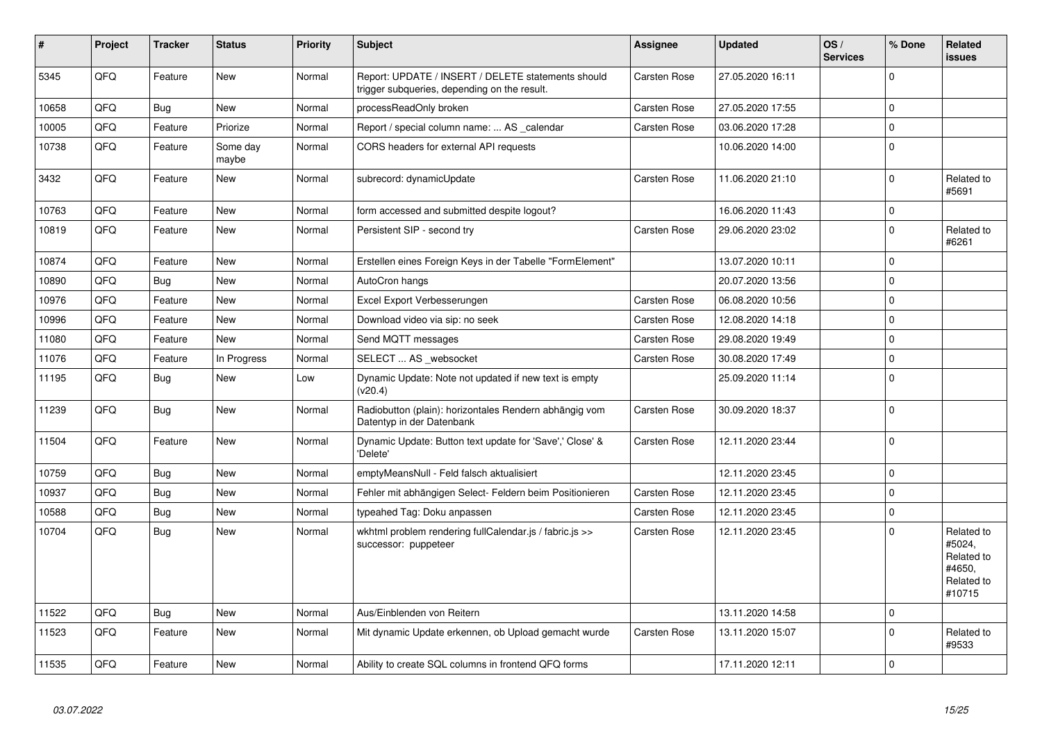| #     | <b>Project</b> | <b>Tracker</b> | <b>Status</b>     | <b>Priority</b> | <b>Subject</b>                                                                                     | Assignee            | <b>Updated</b>   | OS/<br><b>Services</b> | % Done      | Related<br>issues                                                    |
|-------|----------------|----------------|-------------------|-----------------|----------------------------------------------------------------------------------------------------|---------------------|------------------|------------------------|-------------|----------------------------------------------------------------------|
| 5345  | QFQ            | Feature        | New               | Normal          | Report: UPDATE / INSERT / DELETE statements should<br>trigger subqueries, depending on the result. | <b>Carsten Rose</b> | 27.05.2020 16:11 |                        | $\Omega$    |                                                                      |
| 10658 | QFQ            | Bug            | New               | Normal          | processReadOnly broken                                                                             | <b>Carsten Rose</b> | 27.05.2020 17:55 |                        | $\mathbf 0$ |                                                                      |
| 10005 | QFQ            | Feature        | Priorize          | Normal          | Report / special column name:  AS _calendar                                                        | Carsten Rose        | 03.06.2020 17:28 |                        | $\Omega$    |                                                                      |
| 10738 | QFQ            | Feature        | Some day<br>maybe | Normal          | CORS headers for external API requests                                                             |                     | 10.06.2020 14:00 |                        | $\Omega$    |                                                                      |
| 3432  | QFQ            | Feature        | New               | Normal          | subrecord: dynamicUpdate                                                                           | Carsten Rose        | 11.06.2020 21:10 |                        | $\Omega$    | Related to<br>#5691                                                  |
| 10763 | QFQ            | Feature        | <b>New</b>        | Normal          | form accessed and submitted despite logout?                                                        |                     | 16.06.2020 11:43 |                        | $\mathbf 0$ |                                                                      |
| 10819 | QFQ            | Feature        | New               | Normal          | Persistent SIP - second try                                                                        | Carsten Rose        | 29.06.2020 23:02 |                        | $\Omega$    | Related to<br>#6261                                                  |
| 10874 | <b>OFO</b>     | Feature        | <b>New</b>        | Normal          | Erstellen eines Foreign Keys in der Tabelle "FormElement"                                          |                     | 13.07.2020 10:11 |                        | $\Omega$    |                                                                      |
| 10890 | QFQ            | Bug            | New               | Normal          | AutoCron hangs                                                                                     |                     | 20.07.2020 13:56 |                        | $\Omega$    |                                                                      |
| 10976 | QFQ            | Feature        | New               | Normal          | Excel Export Verbesserungen                                                                        | Carsten Rose        | 06.08.2020 10:56 |                        | $\Omega$    |                                                                      |
| 10996 | QFQ            | Feature        | New               | Normal          | Download video via sip: no seek                                                                    | Carsten Rose        | 12.08.2020 14:18 |                        | $\Omega$    |                                                                      |
| 11080 | QFQ            | Feature        | New               | Normal          | Send MQTT messages                                                                                 | Carsten Rose        | 29.08.2020 19:49 |                        | $\Omega$    |                                                                      |
| 11076 | QFQ            | Feature        | In Progress       | Normal          | SELECT  AS websocket                                                                               | <b>Carsten Rose</b> | 30.08.2020 17:49 |                        | $\mathbf 0$ |                                                                      |
| 11195 | QFQ            | <b>Bug</b>     | <b>New</b>        | Low             | Dynamic Update: Note not updated if new text is empty<br>(v20.4)                                   |                     | 25.09.2020 11:14 |                        | $\mathbf 0$ |                                                                      |
| 11239 | QFQ            | Bug            | New               | Normal          | Radiobutton (plain): horizontales Rendern abhängig vom<br>Datentyp in der Datenbank                | Carsten Rose        | 30.09.2020 18:37 |                        | $\Omega$    |                                                                      |
| 11504 | QFQ            | Feature        | New               | Normal          | Dynamic Update: Button text update for 'Save',' Close' &<br>'Delete'                               | Carsten Rose        | 12.11.2020 23:44 |                        | $\mathbf 0$ |                                                                      |
| 10759 | QFQ            | <b>Bug</b>     | <b>New</b>        | Normal          | emptyMeansNull - Feld falsch aktualisiert                                                          |                     | 12.11.2020 23:45 |                        | $\mathbf 0$ |                                                                      |
| 10937 | QFQ            | Bug            | New               | Normal          | Fehler mit abhängigen Select- Feldern beim Positionieren                                           | Carsten Rose        | 12.11.2020 23:45 |                        | $\Omega$    |                                                                      |
| 10588 | QFQ            | <b>Bug</b>     | New               | Normal          | typeahed Tag: Doku anpassen                                                                        | Carsten Rose        | 12.11.2020 23:45 |                        | $\mathbf 0$ |                                                                      |
| 10704 | QFQ            | Bug            | New               | Normal          | wkhtml problem rendering fullCalendar.js / fabric.js >><br>successor: puppeteer                    | Carsten Rose        | 12.11.2020 23:45 |                        | $\Omega$    | Related to<br>#5024,<br>Related to<br>#4650,<br>Related to<br>#10715 |
| 11522 | QFQ            | <b>Bug</b>     | <b>New</b>        | Normal          | Aus/Einblenden von Reitern                                                                         |                     | 13.11.2020 14:58 |                        | $\mathbf 0$ |                                                                      |
| 11523 | QFQ            | Feature        | New               | Normal          | Mit dynamic Update erkennen, ob Upload gemacht wurde                                               | <b>Carsten Rose</b> | 13.11.2020 15:07 |                        | $\mathbf 0$ | Related to<br>#9533                                                  |
| 11535 | QFQ            | Feature        | New               | Normal          | Ability to create SQL columns in frontend QFQ forms                                                |                     | 17.11.2020 12:11 |                        | $\mathbf 0$ |                                                                      |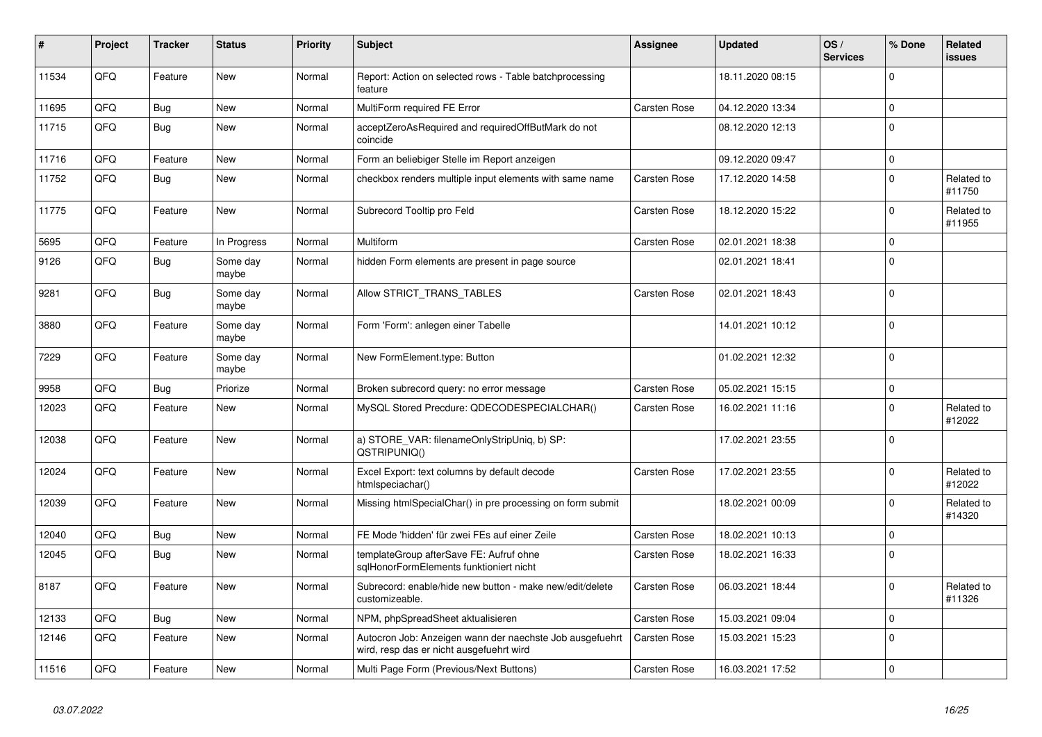| #     | Project | <b>Tracker</b> | <b>Status</b>     | <b>Priority</b> | <b>Subject</b>                                                                                       | <b>Assignee</b> | <b>Updated</b>   | OS/<br><b>Services</b> | % Done      | Related<br>issues    |
|-------|---------|----------------|-------------------|-----------------|------------------------------------------------------------------------------------------------------|-----------------|------------------|------------------------|-------------|----------------------|
| 11534 | QFQ     | Feature        | <b>New</b>        | Normal          | Report: Action on selected rows - Table batchprocessing<br>feature                                   |                 | 18.11.2020 08:15 |                        | $\Omega$    |                      |
| 11695 | QFQ     | <b>Bug</b>     | <b>New</b>        | Normal          | MultiForm required FE Error                                                                          | Carsten Rose    | 04.12.2020 13:34 |                        | $\Omega$    |                      |
| 11715 | QFQ     | <b>Bug</b>     | <b>New</b>        | Normal          | acceptZeroAsRequired and requiredOffButMark do not<br>coincide                                       |                 | 08.12.2020 12:13 |                        | $\Omega$    |                      |
| 11716 | QFQ     | Feature        | New               | Normal          | Form an beliebiger Stelle im Report anzeigen                                                         |                 | 09.12.2020 09:47 |                        | $\mathbf 0$ |                      |
| 11752 | QFQ     | <b>Bug</b>     | New               | Normal          | checkbox renders multiple input elements with same name                                              | Carsten Rose    | 17.12.2020 14:58 |                        | $\Omega$    | Related to<br>#11750 |
| 11775 | QFQ     | Feature        | New               | Normal          | Subrecord Tooltip pro Feld                                                                           | Carsten Rose    | 18.12.2020 15:22 |                        | $\Omega$    | Related to<br>#11955 |
| 5695  | QFQ     | Feature        | In Progress       | Normal          | Multiform                                                                                            | Carsten Rose    | 02.01.2021 18:38 |                        | $\mathbf 0$ |                      |
| 9126  | QFQ     | <b>Bug</b>     | Some day<br>maybe | Normal          | hidden Form elements are present in page source                                                      |                 | 02.01.2021 18:41 |                        | $\Omega$    |                      |
| 9281  | QFQ     | <b>Bug</b>     | Some day<br>maybe | Normal          | Allow STRICT_TRANS_TABLES                                                                            | Carsten Rose    | 02.01.2021 18:43 |                        | $\Omega$    |                      |
| 3880  | QFQ     | Feature        | Some day<br>maybe | Normal          | Form 'Form': anlegen einer Tabelle                                                                   |                 | 14.01.2021 10:12 |                        | $\mathbf 0$ |                      |
| 7229  | QFQ     | Feature        | Some day<br>maybe | Normal          | New FormElement.type: Button                                                                         |                 | 01.02.2021 12:32 |                        | $\Omega$    |                      |
| 9958  | QFQ     | <b>Bug</b>     | Priorize          | Normal          | Broken subrecord query: no error message                                                             | Carsten Rose    | 05.02.2021 15:15 |                        | $\mathbf 0$ |                      |
| 12023 | QFQ     | Feature        | New               | Normal          | MySQL Stored Precdure: QDECODESPECIALCHAR()                                                          | Carsten Rose    | 16.02.2021 11:16 |                        | $\Omega$    | Related to<br>#12022 |
| 12038 | QFQ     | Feature        | New               | Normal          | a) STORE VAR: filenameOnlyStripUniq, b) SP:<br>QSTRIPUNIQ()                                          |                 | 17.02.2021 23:55 |                        | $\Omega$    |                      |
| 12024 | QFQ     | Feature        | New               | Normal          | Excel Export: text columns by default decode<br>htmlspeciachar()                                     | Carsten Rose    | 17.02.2021 23:55 |                        | $\Omega$    | Related to<br>#12022 |
| 12039 | QFQ     | Feature        | New               | Normal          | Missing htmlSpecialChar() in pre processing on form submit                                           |                 | 18.02.2021 00:09 |                        | $\Omega$    | Related to<br>#14320 |
| 12040 | QFQ     | <b>Bug</b>     | New               | Normal          | FE Mode 'hidden' für zwei FEs auf einer Zeile                                                        | Carsten Rose    | 18.02.2021 10:13 |                        | $\Omega$    |                      |
| 12045 | QFQ     | <b>Bug</b>     | New               | Normal          | templateGroup afterSave FE: Aufruf ohne<br>sglHonorFormElements funktioniert nicht                   | Carsten Rose    | 18.02.2021 16:33 |                        | $\Omega$    |                      |
| 8187  | QFQ     | Feature        | <b>New</b>        | Normal          | Subrecord: enable/hide new button - make new/edit/delete<br>customizeable.                           | Carsten Rose    | 06.03.2021 18:44 |                        | $\Omega$    | Related to<br>#11326 |
| 12133 | QFQ     | <b>Bug</b>     | New               | Normal          | NPM, phpSpreadSheet aktualisieren                                                                    | Carsten Rose    | 15.03.2021 09:04 |                        | $\Omega$    |                      |
| 12146 | QFQ     | Feature        | New               | Normal          | Autocron Job: Anzeigen wann der naechste Job ausgefuehrt<br>wird, resp das er nicht ausgefuehrt wird | Carsten Rose    | 15.03.2021 15:23 |                        | $\Omega$    |                      |
| 11516 | QFQ     | Feature        | New               | Normal          | Multi Page Form (Previous/Next Buttons)                                                              | Carsten Rose    | 16.03.2021 17:52 |                        | $\Omega$    |                      |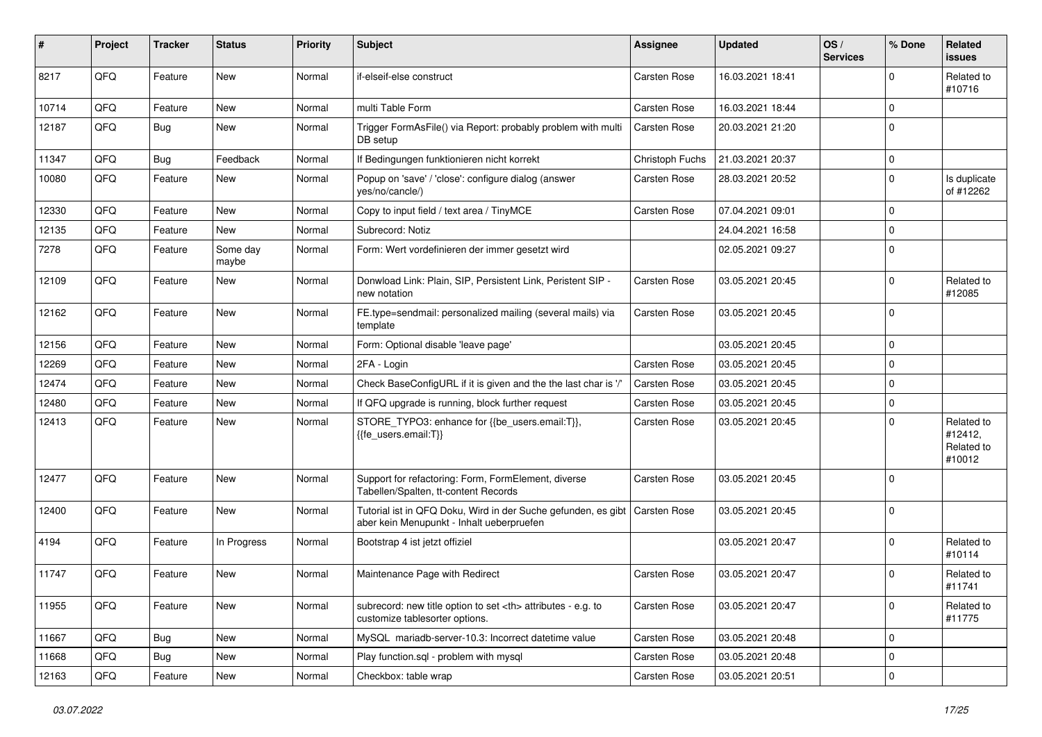| #     | Project | <b>Tracker</b> | <b>Status</b>     | <b>Priority</b> | Subject                                                                                                    | <b>Assignee</b>                                        | <b>Updated</b>   | OS/<br><b>Services</b> | % Done      | Related<br>issues                             |                      |
|-------|---------|----------------|-------------------|-----------------|------------------------------------------------------------------------------------------------------------|--------------------------------------------------------|------------------|------------------------|-------------|-----------------------------------------------|----------------------|
| 8217  | QFQ     | Feature        | New               | Normal          | if-elseif-else construct                                                                                   | <b>Carsten Rose</b>                                    | 16.03.2021 18:41 |                        | $\Omega$    | Related to<br>#10716                          |                      |
| 10714 | QFQ     | Feature        | New               | Normal          | multi Table Form                                                                                           | <b>Carsten Rose</b>                                    | 16.03.2021 18:44 |                        | $\mathbf 0$ |                                               |                      |
| 12187 | QFQ     | <b>Bug</b>     | New               | Normal          | Trigger FormAsFile() via Report: probably problem with multi<br>DB setup                                   | Carsten Rose                                           | 20.03.2021 21:20 |                        | $\Omega$    |                                               |                      |
| 11347 | QFQ     | Bug            | Feedback          | Normal          | If Bedingungen funktionieren nicht korrekt                                                                 | Christoph Fuchs                                        | 21.03.2021 20:37 |                        | $\mathbf 0$ |                                               |                      |
| 10080 | QFQ     | Feature        | New               | Normal          | Popup on 'save' / 'close': configure dialog (answer<br>yes/no/cancle/)                                     | Carsten Rose                                           | 28.03.2021 20:52 |                        | $\mathbf 0$ | Is duplicate<br>of #12262                     |                      |
| 12330 | QFQ     | Feature        | New               | Normal          | Copy to input field / text area / TinyMCE                                                                  | <b>Carsten Rose</b>                                    | 07.04.2021 09:01 |                        | $\mathbf 0$ |                                               |                      |
| 12135 | QFQ     | Feature        | New               | Normal          | Subrecord: Notiz                                                                                           |                                                        | 24.04.2021 16:58 |                        | $\Omega$    |                                               |                      |
| 7278  | QFQ     | Feature        | Some day<br>maybe | Normal          | Form: Wert vordefinieren der immer gesetzt wird                                                            |                                                        | 02.05.2021 09:27 |                        | $\Omega$    |                                               |                      |
| 12109 | QFQ     | Feature        | New               | Normal          | Donwload Link: Plain, SIP, Persistent Link, Peristent SIP -<br>new notation                                | Carsten Rose                                           | 03.05.2021 20:45 |                        | $\Omega$    | Related to<br>#12085                          |                      |
| 12162 | QFQ     | Feature        | New               | Normal          | FE.type=sendmail: personalized mailing (several mails) via<br>template                                     | Carsten Rose                                           | 03.05.2021 20:45 |                        | $\Omega$    |                                               |                      |
| 12156 | QFQ     | Feature        | New               | Normal          | Form: Optional disable 'leave page'                                                                        |                                                        | 03.05.2021 20:45 |                        | $\mathbf 0$ |                                               |                      |
| 12269 | QFQ     | Feature        | New               | Normal          | 2FA - Login                                                                                                | <b>Carsten Rose</b>                                    | 03.05.2021 20:45 |                        | $\mathbf 0$ |                                               |                      |
| 12474 | QFQ     | Feature        | New               | Normal          | Check BaseConfigURL if it is given and the the last char is '/                                             | Carsten Rose                                           | 03.05.2021 20:45 |                        | $\Omega$    |                                               |                      |
| 12480 | QFQ     | Feature        | New               | Normal          | If QFQ upgrade is running, block further request                                                           | Carsten Rose                                           | 03.05.2021 20:45 |                        | $\mathbf 0$ |                                               |                      |
| 12413 | QFQ     | Feature        | New               | Normal          | STORE_TYPO3: enhance for {{be_users.email:T}},<br>{{fe users.email:T}}                                     | Carsten Rose                                           | 03.05.2021 20:45 |                        | $\Omega$    | Related to<br>#12412,<br>Related to<br>#10012 |                      |
| 12477 | QFQ     | Feature        | New               | Normal          | Support for refactoring: Form, FormElement, diverse<br>Tabellen/Spalten, tt-content Records                | Carsten Rose                                           | 03.05.2021 20:45 |                        | $\mathbf 0$ |                                               |                      |
| 12400 | QFQ     | Feature        | New               | Normal          | Tutorial ist in QFQ Doku, Wird in der Suche gefunden, es gibt<br>aber kein Menupunkt - Inhalt ueberpruefen | <b>Carsten Rose</b>                                    | 03.05.2021 20:45 |                        | $\Omega$    |                                               |                      |
| 4194  | QFQ     | Feature        | In Progress       | Normal          | Bootstrap 4 ist jetzt offiziel                                                                             |                                                        | 03.05.2021 20:47 |                        | $\Omega$    | Related to<br>#10114                          |                      |
| 11747 | QFQ     | Feature        | New               | Normal          | Maintenance Page with Redirect                                                                             | Carsten Rose                                           | 03.05.2021 20:47 |                        | $\Omega$    | Related to<br>#11741                          |                      |
| 11955 | QFQ     | Feature        | New               | Normal          | subrecord: new title option to set <th> attributes - e.g. to<br/>customize tablesorter options.</th>       | attributes - e.g. to<br>customize tablesorter options. | Carsten Rose     | 03.05.2021 20:47       |             | $\mathbf 0$                                   | Related to<br>#11775 |
| 11667 | QFQ     | <b>Bug</b>     | New               | Normal          | MySQL mariadb-server-10.3: Incorrect datetime value                                                        | Carsten Rose                                           | 03.05.2021 20:48 |                        | $\mathbf 0$ |                                               |                      |
| 11668 | QFQ     | <b>Bug</b>     | New               | Normal          | Play function.sql - problem with mysql                                                                     | Carsten Rose                                           | 03.05.2021 20:48 |                        | $\mathbf 0$ |                                               |                      |
| 12163 | QFQ     | Feature        | New               | Normal          | Checkbox: table wrap                                                                                       | Carsten Rose                                           | 03.05.2021 20:51 |                        | $\mathbf 0$ |                                               |                      |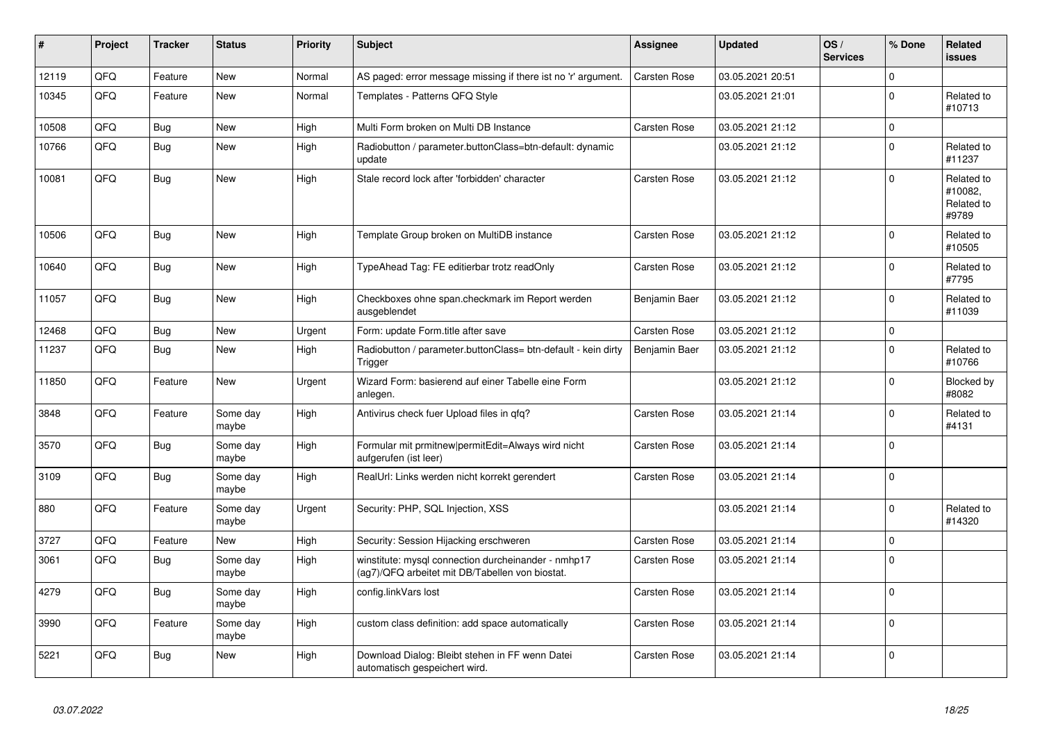| #     | Project | <b>Tracker</b> | <b>Status</b>     | <b>Priority</b> | <b>Subject</b>                                                                                         | Assignee            | <b>Updated</b>   | OS/<br><b>Services</b> | % Done      | Related<br><b>issues</b>                     |
|-------|---------|----------------|-------------------|-----------------|--------------------------------------------------------------------------------------------------------|---------------------|------------------|------------------------|-------------|----------------------------------------------|
| 12119 | QFQ     | Feature        | <b>New</b>        | Normal          | AS paged: error message missing if there ist no 'r' argument.                                          | <b>Carsten Rose</b> | 03.05.2021 20:51 |                        | $\Omega$    |                                              |
| 10345 | QFQ     | Feature        | New               | Normal          | Templates - Patterns QFQ Style                                                                         |                     | 03.05.2021 21:01 |                        | $\Omega$    | Related to<br>#10713                         |
| 10508 | QFQ     | Bug            | <b>New</b>        | High            | Multi Form broken on Multi DB Instance                                                                 | Carsten Rose        | 03.05.2021 21:12 |                        | $\Omega$    |                                              |
| 10766 | QFQ     | Bug            | New               | High            | Radiobutton / parameter.buttonClass=btn-default: dynamic<br>update                                     |                     | 03.05.2021 21:12 |                        | $\Omega$    | Related to<br>#11237                         |
| 10081 | QFQ     | Bug            | <b>New</b>        | High            | Stale record lock after 'forbidden' character                                                          | Carsten Rose        | 03.05.2021 21:12 |                        | $\mathbf 0$ | Related to<br>#10082,<br>Related to<br>#9789 |
| 10506 | QFQ     | <b>Bug</b>     | <b>New</b>        | High            | Template Group broken on MultiDB instance                                                              | <b>Carsten Rose</b> | 03.05.2021 21:12 |                        | $\Omega$    | Related to<br>#10505                         |
| 10640 | QFQ     | Bug            | <b>New</b>        | High            | TypeAhead Tag: FE editierbar trotz readOnly                                                            | Carsten Rose        | 03.05.2021 21:12 |                        | $\Omega$    | Related to<br>#7795                          |
| 11057 | QFQ     | Bug            | New               | High            | Checkboxes ohne span.checkmark im Report werden<br>ausgeblendet                                        | Benjamin Baer       | 03.05.2021 21:12 |                        | $\Omega$    | Related to<br>#11039                         |
| 12468 | QFQ     | <b>Bug</b>     | <b>New</b>        | Urgent          | Form: update Form.title after save                                                                     | <b>Carsten Rose</b> | 03.05.2021 21:12 |                        | $\Omega$    |                                              |
| 11237 | QFQ     | Bug            | New               | High            | Radiobutton / parameter.buttonClass= btn-default - kein dirty<br>Trigger                               | Benjamin Baer       | 03.05.2021 21:12 |                        | $\Omega$    | Related to<br>#10766                         |
| 11850 | QFQ     | Feature        | <b>New</b>        | Urgent          | Wizard Form: basierend auf einer Tabelle eine Form<br>anlegen.                                         |                     | 03.05.2021 21:12 |                        | $\Omega$    | Blocked by<br>#8082                          |
| 3848  | QFQ     | Feature        | Some dav<br>maybe | High            | Antivirus check fuer Upload files in gfg?                                                              | Carsten Rose        | 03.05.2021 21:14 |                        | $\Omega$    | Related to<br>#4131                          |
| 3570  | QFQ     | Bug            | Some day<br>maybe | High            | Formular mit prmitnew permitEdit=Always wird nicht<br>aufgerufen (ist leer)                            | Carsten Rose        | 03.05.2021 21:14 |                        | $\mathbf 0$ |                                              |
| 3109  | QFQ     | <b>Bug</b>     | Some day<br>maybe | High            | RealUrl: Links werden nicht korrekt gerendert                                                          | Carsten Rose        | 03.05.2021 21:14 |                        | $\Omega$    |                                              |
| 880   | QFQ     | Feature        | Some day<br>maybe | Urgent          | Security: PHP, SQL Injection, XSS                                                                      |                     | 03.05.2021 21:14 |                        | $\Omega$    | Related to<br>#14320                         |
| 3727  | QFQ     | Feature        | <b>New</b>        | High            | Security: Session Hijacking erschweren                                                                 | Carsten Rose        | 03.05.2021 21:14 |                        | 0           |                                              |
| 3061  | QFQ     | <b>Bug</b>     | Some day<br>maybe | High            | winstitute: mysql connection durcheinander - nmhp17<br>(ag7)/QFQ arbeitet mit DB/Tabellen von biostat. | Carsten Rose        | 03.05.2021 21:14 |                        | $\Omega$    |                                              |
| 4279  | QFQ     | Bug            | Some day<br>maybe | High            | config.linkVars lost                                                                                   | Carsten Rose        | 03.05.2021 21:14 |                        | $\Omega$    |                                              |
| 3990  | QFQ     | Feature        | Some day<br>maybe | High            | custom class definition: add space automatically                                                       | Carsten Rose        | 03.05.2021 21:14 |                        | $\Omega$    |                                              |
| 5221  | QFQ     | Bug            | New               | High            | Download Dialog: Bleibt stehen in FF wenn Datei<br>automatisch gespeichert wird.                       | Carsten Rose        | 03.05.2021 21:14 |                        | $\Omega$    |                                              |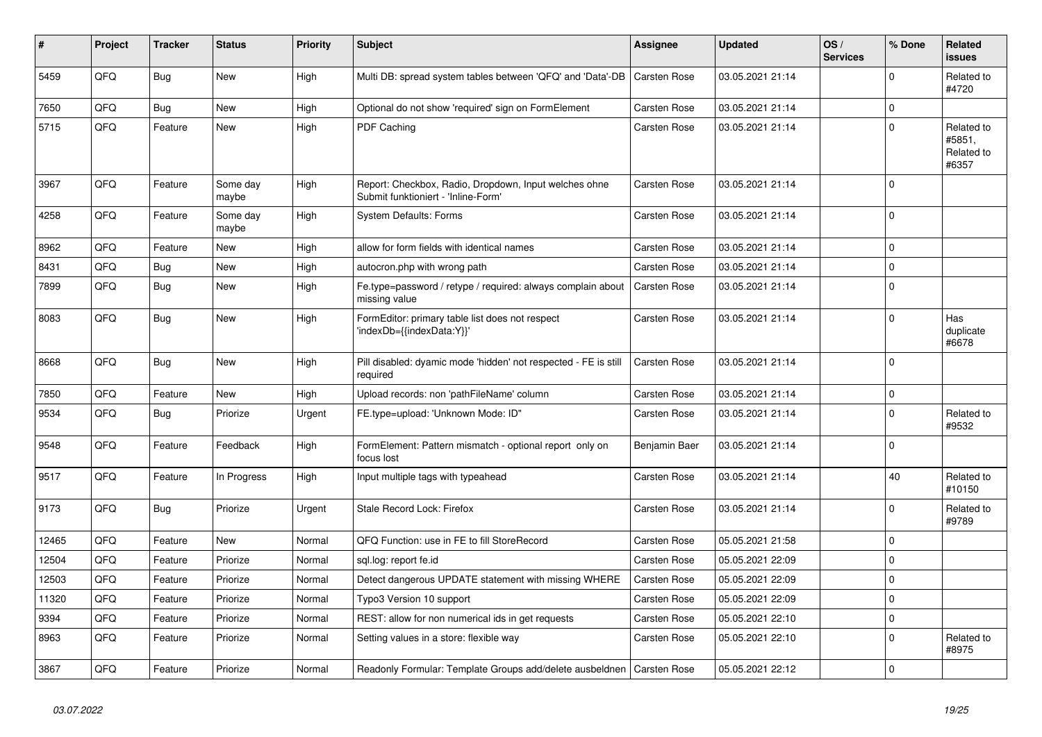| #     | Project | <b>Tracker</b> | <b>Status</b>     | <b>Priority</b> | <b>Subject</b>                                                                               | Assignee            | <b>Updated</b>   | OS/<br><b>Services</b> | % Done      | Related<br><b>issues</b>                    |
|-------|---------|----------------|-------------------|-----------------|----------------------------------------------------------------------------------------------|---------------------|------------------|------------------------|-------------|---------------------------------------------|
| 5459  | QFQ     | <b>Bug</b>     | <b>New</b>        | High            | Multi DB: spread system tables between 'QFQ' and 'Data'-DB                                   | <b>Carsten Rose</b> | 03.05.2021 21:14 |                        | $\Omega$    | Related to<br>#4720                         |
| 7650  | QFQ     | <b>Bug</b>     | New               | High            | Optional do not show 'required' sign on FormElement                                          | <b>Carsten Rose</b> | 03.05.2021 21:14 |                        | $\mathbf 0$ |                                             |
| 5715  | QFQ     | Feature        | New               | High            | PDF Caching                                                                                  | Carsten Rose        | 03.05.2021 21:14 |                        | $\Omega$    | Related to<br>#5851,<br>Related to<br>#6357 |
| 3967  | QFQ     | Feature        | Some day<br>maybe | High            | Report: Checkbox, Radio, Dropdown, Input welches ohne<br>Submit funktioniert - 'Inline-Form' | Carsten Rose        | 03.05.2021 21:14 |                        | $\Omega$    |                                             |
| 4258  | QFQ     | Feature        | Some day<br>maybe | High            | <b>System Defaults: Forms</b>                                                                | <b>Carsten Rose</b> | 03.05.2021 21:14 |                        | $\Omega$    |                                             |
| 8962  | QFQ     | Feature        | New               | High            | allow for form fields with identical names                                                   | <b>Carsten Rose</b> | 03.05.2021 21:14 |                        | $\Omega$    |                                             |
| 8431  | QFQ     | Bug            | New               | High            | autocron.php with wrong path                                                                 | Carsten Rose        | 03.05.2021 21:14 |                        | $\mathbf 0$ |                                             |
| 7899  | QFQ     | <b>Bug</b>     | New               | High            | Fe.type=password / retype / required: always complain about<br>missing value                 | Carsten Rose        | 03.05.2021 21:14 |                        | $\mathbf 0$ |                                             |
| 8083  | QFQ     | <b>Bug</b>     | <b>New</b>        | High            | FormEditor: primary table list does not respect<br>'indexDb={{indexData:Y}}'                 | Carsten Rose        | 03.05.2021 21:14 |                        | $\Omega$    | Has<br>duplicate<br>#6678                   |
| 8668  | QFQ     | <b>Bug</b>     | <b>New</b>        | High            | Pill disabled: dyamic mode 'hidden' not respected - FE is still<br>required                  | Carsten Rose        | 03.05.2021 21:14 |                        | $\Omega$    |                                             |
| 7850  | QFQ     | Feature        | New               | High            | Upload records: non 'pathFileName' column                                                    | <b>Carsten Rose</b> | 03.05.2021 21:14 |                        | $\mathbf 0$ |                                             |
| 9534  | QFQ     | <b>Bug</b>     | Priorize          | Urgent          | FE.type=upload: 'Unknown Mode: ID"                                                           | Carsten Rose        | 03.05.2021 21:14 |                        | $\Omega$    | Related to<br>#9532                         |
| 9548  | QFQ     | Feature        | Feedback          | High            | FormElement: Pattern mismatch - optional report only on<br>focus lost                        | Benjamin Baer       | 03.05.2021 21:14 |                        | $\mathbf 0$ |                                             |
| 9517  | QFQ     | Feature        | In Progress       | High            | Input multiple tags with typeahead                                                           | Carsten Rose        | 03.05.2021 21:14 |                        | 40          | Related to<br>#10150                        |
| 9173  | QFQ     | Bug            | Priorize          | Urgent          | Stale Record Lock: Firefox                                                                   | Carsten Rose        | 03.05.2021 21:14 |                        | $\Omega$    | Related to<br>#9789                         |
| 12465 | QFQ     | Feature        | <b>New</b>        | Normal          | QFQ Function: use in FE to fill StoreRecord                                                  | Carsten Rose        | 05.05.2021 21:58 |                        | $\Omega$    |                                             |
| 12504 | QFQ     | Feature        | Priorize          | Normal          | sgl.log: report fe.id                                                                        | Carsten Rose        | 05.05.2021 22:09 |                        | $\mathbf 0$ |                                             |
| 12503 | QFQ     | Feature        | Priorize          | Normal          | Detect dangerous UPDATE statement with missing WHERE                                         | <b>Carsten Rose</b> | 05.05.2021 22:09 |                        | $\mathbf 0$ |                                             |
| 11320 | QFQ     | Feature        | Priorize          | Normal          | Typo3 Version 10 support                                                                     | Carsten Rose        | 05.05.2021 22:09 |                        | $\Omega$    |                                             |
| 9394  | QFQ     | Feature        | Priorize          | Normal          | REST: allow for non numerical ids in get requests                                            | Carsten Rose        | 05.05.2021 22:10 |                        | $\Omega$    |                                             |
| 8963  | QFQ     | Feature        | Priorize          | Normal          | Setting values in a store: flexible way                                                      | Carsten Rose        | 05.05.2021 22:10 |                        | $\Omega$    | Related to<br>#8975                         |
| 3867  | QFQ     | Feature        | Priorize          | Normal          | Readonly Formular: Template Groups add/delete ausbeldnen   Carsten Rose                      |                     | 05.05.2021 22:12 |                        | $\Omega$    |                                             |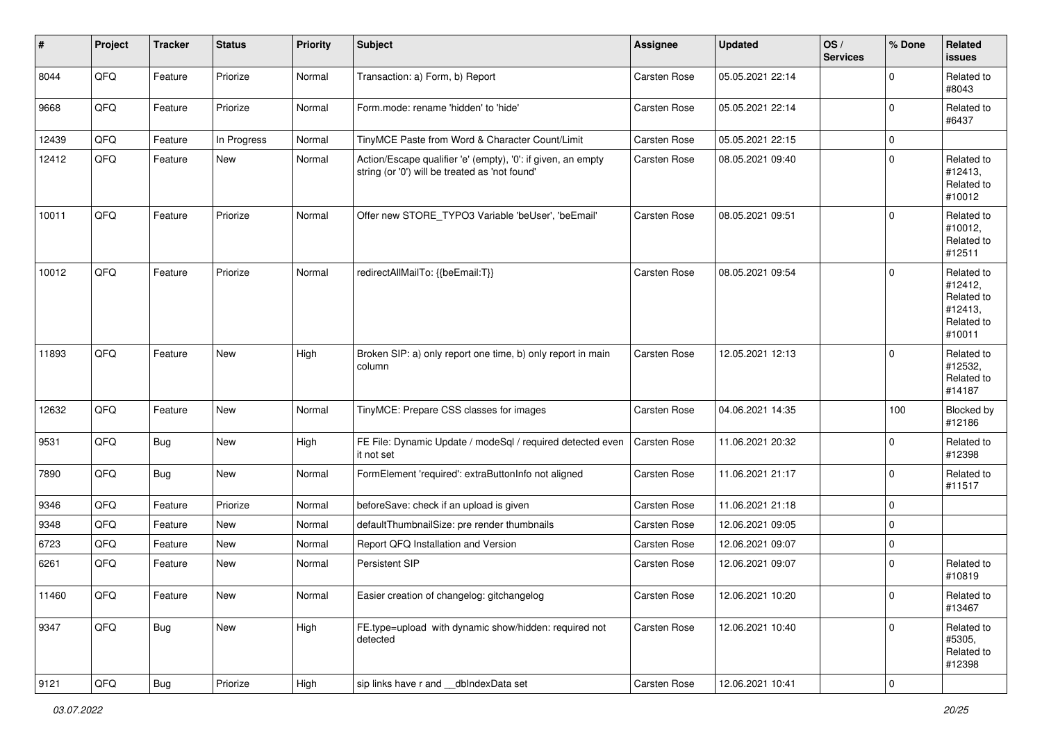| $\vert$ # | Project | <b>Tracker</b> | <b>Status</b> | <b>Priority</b> | Subject                                                                                                        | Assignee            | <b>Updated</b>   | OS/<br><b>Services</b> | % Done         | Related<br>issues                                                      |
|-----------|---------|----------------|---------------|-----------------|----------------------------------------------------------------------------------------------------------------|---------------------|------------------|------------------------|----------------|------------------------------------------------------------------------|
| 8044      | QFQ     | Feature        | Priorize      | Normal          | Transaction: a) Form, b) Report                                                                                | Carsten Rose        | 05.05.2021 22:14 |                        | $\mathbf 0$    | Related to<br>#8043                                                    |
| 9668      | QFQ     | Feature        | Priorize      | Normal          | Form.mode: rename 'hidden' to 'hide'                                                                           | <b>Carsten Rose</b> | 05.05.2021 22:14 |                        | 0              | Related to<br>#6437                                                    |
| 12439     | QFQ     | Feature        | In Progress   | Normal          | TinyMCE Paste from Word & Character Count/Limit                                                                | Carsten Rose        | 05.05.2021 22:15 |                        | $\mathbf 0$    |                                                                        |
| 12412     | QFQ     | Feature        | New           | Normal          | Action/Escape qualifier 'e' (empty), '0': if given, an empty<br>string (or '0') will be treated as 'not found' | <b>Carsten Rose</b> | 08.05.2021 09:40 |                        | 0              | Related to<br>#12413,<br>Related to<br>#10012                          |
| 10011     | QFQ     | Feature        | Priorize      | Normal          | Offer new STORE_TYPO3 Variable 'beUser', 'beEmail'                                                             | <b>Carsten Rose</b> | 08.05.2021 09:51 |                        | $\mathbf 0$    | Related to<br>#10012,<br>Related to<br>#12511                          |
| 10012     | QFQ     | Feature        | Priorize      | Normal          | redirectAllMailTo: {{beEmail:T}}                                                                               | <b>Carsten Rose</b> | 08.05.2021 09:54 |                        | $\mathbf 0$    | Related to<br>#12412,<br>Related to<br>#12413,<br>Related to<br>#10011 |
| 11893     | QFQ     | Feature        | New           | High            | Broken SIP: a) only report one time, b) only report in main<br>column                                          | Carsten Rose        | 12.05.2021 12:13 |                        | 0              | Related to<br>#12532,<br>Related to<br>#14187                          |
| 12632     | QFQ     | Feature        | New           | Normal          | TinyMCE: Prepare CSS classes for images                                                                        | <b>Carsten Rose</b> | 04.06.2021 14:35 |                        | 100            | Blocked by<br>#12186                                                   |
| 9531      | QFQ     | <b>Bug</b>     | New           | High            | FE File: Dynamic Update / modeSql / required detected even<br>it not set                                       | <b>Carsten Rose</b> | 11.06.2021 20:32 |                        | 0              | Related to<br>#12398                                                   |
| 7890      | QFQ     | <b>Bug</b>     | New           | Normal          | FormElement 'required': extraButtonInfo not aligned                                                            | Carsten Rose        | 11.06.2021 21:17 |                        | $\mathbf 0$    | Related to<br>#11517                                                   |
| 9346      | QFQ     | Feature        | Priorize      | Normal          | beforeSave: check if an upload is given                                                                        | Carsten Rose        | 11.06.2021 21:18 |                        | 0              |                                                                        |
| 9348      | QFQ     | Feature        | New           | Normal          | defaultThumbnailSize: pre render thumbnails                                                                    | Carsten Rose        | 12.06.2021 09:05 |                        | $\mathbf 0$    |                                                                        |
| 6723      | QFQ     | Feature        | New           | Normal          | Report QFQ Installation and Version                                                                            | Carsten Rose        | 12.06.2021 09:07 |                        | $\mathbf 0$    |                                                                        |
| 6261      | QFQ     | Feature        | New           | Normal          | Persistent SIP                                                                                                 | Carsten Rose        | 12.06.2021 09:07 |                        | 0              | Related to<br>#10819                                                   |
| 11460     | QFQ     | Feature        | New           | Normal          | Easier creation of changelog: gitchangelog                                                                     | Carsten Rose        | 12.06.2021 10:20 |                        | 0              | Related to<br>#13467                                                   |
| 9347      | QFQ     | <b>Bug</b>     | New           | High            | FE.type=upload with dynamic show/hidden: required not<br>detected                                              | Carsten Rose        | 12.06.2021 10:40 |                        | 0              | Related to<br>#5305,<br>Related to<br>#12398                           |
| 9121      | QFG     | <b>Bug</b>     | Priorize      | High            | sip links have r and __dbIndexData set                                                                         | Carsten Rose        | 12.06.2021 10:41 |                        | $\overline{0}$ |                                                                        |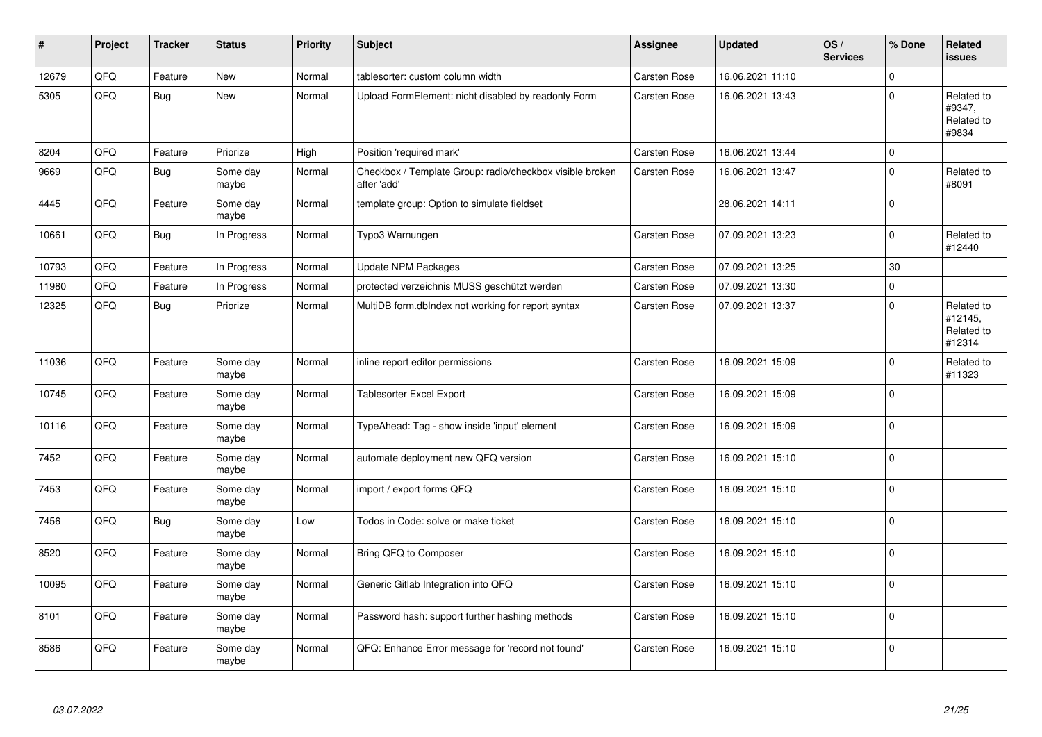| #     | Project | <b>Tracker</b> | <b>Status</b>     | <b>Priority</b> | <b>Subject</b>                                                          | <b>Assignee</b>     | <b>Updated</b>   | OS/<br><b>Services</b> | % Done      | Related<br><b>issues</b>                      |
|-------|---------|----------------|-------------------|-----------------|-------------------------------------------------------------------------|---------------------|------------------|------------------------|-------------|-----------------------------------------------|
| 12679 | QFQ     | Feature        | <b>New</b>        | Normal          | tablesorter: custom column width                                        | Carsten Rose        | 16.06.2021 11:10 |                        | $\Omega$    |                                               |
| 5305  | QFQ     | <b>Bug</b>     | New               | Normal          | Upload FormElement: nicht disabled by readonly Form                     | Carsten Rose        | 16.06.2021 13:43 |                        | $\Omega$    | Related to<br>#9347,<br>Related to<br>#9834   |
| 8204  | QFQ     | Feature        | Priorize          | High            | Position 'required mark'                                                | <b>Carsten Rose</b> | 16.06.2021 13:44 |                        | $\Omega$    |                                               |
| 9669  | QFQ     | <b>Bug</b>     | Some day<br>maybe | Normal          | Checkbox / Template Group: radio/checkbox visible broken<br>after 'add' | Carsten Rose        | 16.06.2021 13:47 |                        | $\Omega$    | Related to<br>#8091                           |
| 4445  | QFQ     | Feature        | Some day<br>maybe | Normal          | template group: Option to simulate fieldset                             |                     | 28.06.2021 14:11 |                        | $\Omega$    |                                               |
| 10661 | QFQ     | <b>Bug</b>     | In Progress       | Normal          | Typo3 Warnungen                                                         | Carsten Rose        | 07.09.2021 13:23 |                        | 0           | Related to<br>#12440                          |
| 10793 | QFQ     | Feature        | In Progress       | Normal          | <b>Update NPM Packages</b>                                              | Carsten Rose        | 07.09.2021 13:25 |                        | 30          |                                               |
| 11980 | QFQ     | Feature        | In Progress       | Normal          | protected verzeichnis MUSS geschützt werden                             | Carsten Rose        | 07.09.2021 13:30 |                        | $\Omega$    |                                               |
| 12325 | QFQ     | Bug            | Priorize          | Normal          | MultiDB form.dblndex not working for report syntax                      | Carsten Rose        | 07.09.2021 13:37 |                        | $\Omega$    | Related to<br>#12145,<br>Related to<br>#12314 |
| 11036 | QFQ     | Feature        | Some day<br>maybe | Normal          | inline report editor permissions                                        | Carsten Rose        | 16.09.2021 15:09 |                        | 0           | Related to<br>#11323                          |
| 10745 | QFQ     | Feature        | Some day<br>maybe | Normal          | <b>Tablesorter Excel Export</b>                                         | Carsten Rose        | 16.09.2021 15:09 |                        | $\Omega$    |                                               |
| 10116 | QFQ     | Feature        | Some day<br>maybe | Normal          | TypeAhead: Tag - show inside 'input' element                            | Carsten Rose        | 16.09.2021 15:09 |                        | $\mathbf 0$ |                                               |
| 7452  | QFQ     | Feature        | Some day<br>maybe | Normal          | automate deployment new QFQ version                                     | Carsten Rose        | 16.09.2021 15:10 |                        | $\mathbf 0$ |                                               |
| 7453  | QFG     | Feature        | Some day<br>maybe | Normal          | import / export forms QFQ                                               | Carsten Rose        | 16.09.2021 15:10 |                        | $\Omega$    |                                               |
| 7456  | QFQ     | <b>Bug</b>     | Some day<br>maybe | Low             | Todos in Code: solve or make ticket                                     | Carsten Rose        | 16.09.2021 15:10 |                        | $\Omega$    |                                               |
| 8520  | QFQ     | Feature        | Some day<br>maybe | Normal          | Bring QFQ to Composer                                                   | Carsten Rose        | 16.09.2021 15:10 |                        | $\Omega$    |                                               |
| 10095 | QFQ     | Feature        | Some day<br>maybe | Normal          | Generic Gitlab Integration into QFQ                                     | Carsten Rose        | 16.09.2021 15:10 |                        | $\Omega$    |                                               |
| 8101  | QFQ     | Feature        | Some day<br>maybe | Normal          | Password hash: support further hashing methods                          | Carsten Rose        | 16.09.2021 15:10 |                        | $\Omega$    |                                               |
| 8586  | QFQ     | Feature        | Some day<br>maybe | Normal          | QFQ: Enhance Error message for 'record not found'                       | Carsten Rose        | 16.09.2021 15:10 |                        | $\Omega$    |                                               |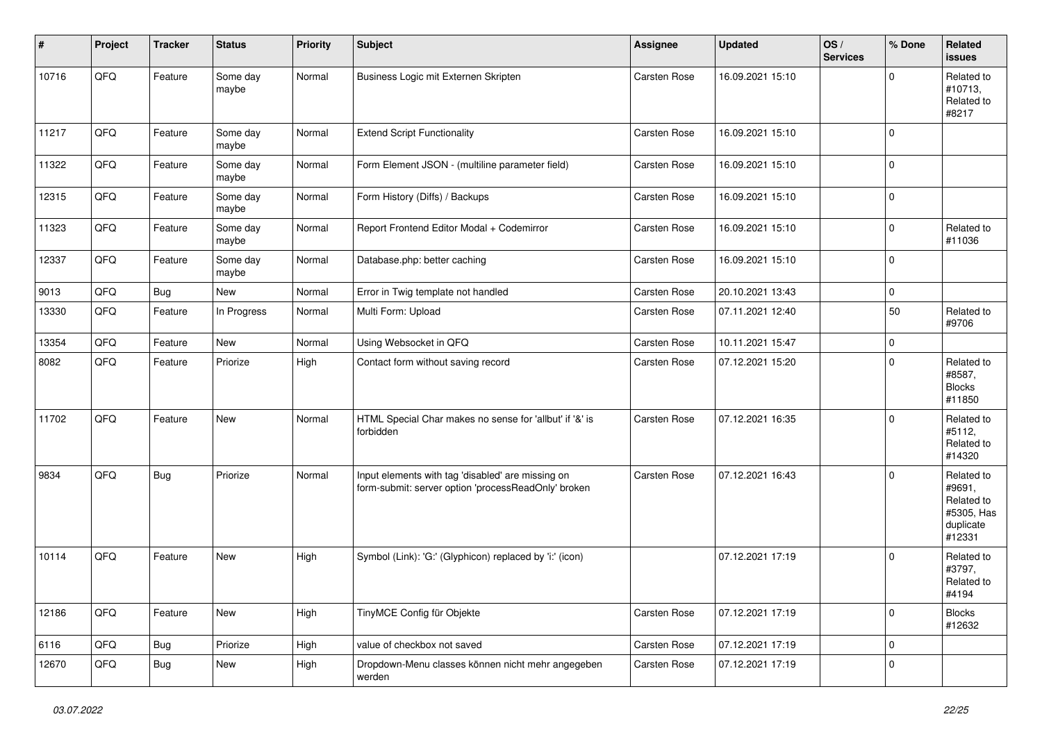| #     | Project | <b>Tracker</b> | <b>Status</b>     | <b>Priority</b> | Subject                                                                                                  | Assignee            | <b>Updated</b>   | OS/<br><b>Services</b> | % Done      | Related<br>issues                                                       |
|-------|---------|----------------|-------------------|-----------------|----------------------------------------------------------------------------------------------------------|---------------------|------------------|------------------------|-------------|-------------------------------------------------------------------------|
| 10716 | QFQ     | Feature        | Some day<br>maybe | Normal          | Business Logic mit Externen Skripten                                                                     | Carsten Rose        | 16.09.2021 15:10 |                        | O           | Related to<br>#10713,<br>Related to<br>#8217                            |
| 11217 | QFQ     | Feature        | Some day<br>maybe | Normal          | <b>Extend Script Functionality</b>                                                                       | <b>Carsten Rose</b> | 16.09.2021 15:10 |                        | $\Omega$    |                                                                         |
| 11322 | QFQ     | Feature        | Some day<br>maybe | Normal          | Form Element JSON - (multiline parameter field)                                                          | Carsten Rose        | 16.09.2021 15:10 |                        | $\mathbf 0$ |                                                                         |
| 12315 | QFQ     | Feature        | Some day<br>maybe | Normal          | Form History (Diffs) / Backups                                                                           | <b>Carsten Rose</b> | 16.09.2021 15:10 |                        | $\mathbf 0$ |                                                                         |
| 11323 | QFQ     | Feature        | Some day<br>maybe | Normal          | Report Frontend Editor Modal + Codemirror                                                                | Carsten Rose        | 16.09.2021 15:10 |                        | 0           | Related to<br>#11036                                                    |
| 12337 | QFQ     | Feature        | Some day<br>maybe | Normal          | Database.php: better caching                                                                             | Carsten Rose        | 16.09.2021 15:10 |                        | $\Omega$    |                                                                         |
| 9013  | QFQ     | <b>Bug</b>     | New               | Normal          | Error in Twig template not handled                                                                       | <b>Carsten Rose</b> | 20.10.2021 13:43 |                        | 0           |                                                                         |
| 13330 | QFQ     | Feature        | In Progress       | Normal          | Multi Form: Upload                                                                                       | <b>Carsten Rose</b> | 07.11.2021 12:40 |                        | 50          | Related to<br>#9706                                                     |
| 13354 | QFQ     | Feature        | <b>New</b>        | Normal          | Using Websocket in QFQ                                                                                   | Carsten Rose        | 10.11.2021 15:47 |                        | 0           |                                                                         |
| 8082  | QFQ     | Feature        | Priorize          | High            | Contact form without saving record                                                                       | Carsten Rose        | 07.12.2021 15:20 |                        | $\Omega$    | Related to<br>#8587,<br><b>Blocks</b><br>#11850                         |
| 11702 | QFQ     | Feature        | New               | Normal          | HTML Special Char makes no sense for 'allbut' if '&' is<br>forbidden                                     | <b>Carsten Rose</b> | 07.12.2021 16:35 |                        | $\Omega$    | Related to<br>#5112,<br>Related to<br>#14320                            |
| 9834  | QFQ     | <b>Bug</b>     | Priorize          | Normal          | Input elements with tag 'disabled' are missing on<br>form-submit: server option 'processReadOnly' broken | <b>Carsten Rose</b> | 07.12.2021 16:43 |                        | $\Omega$    | Related to<br>#9691,<br>Related to<br>#5305, Has<br>duplicate<br>#12331 |
| 10114 | QFQ     | Feature        | New               | High            | Symbol (Link): 'G:' (Glyphicon) replaced by 'i:' (icon)                                                  |                     | 07.12.2021 17:19 |                        | $\Omega$    | Related to<br>#3797,<br>Related to<br>#4194                             |
| 12186 | QFQ     | Feature        | New               | High            | TinyMCE Config für Objekte                                                                               | Carsten Rose        | 07.12.2021 17:19 |                        | $\Omega$    | <b>Blocks</b><br>#12632                                                 |
| 6116  | QFQ     | <b>Bug</b>     | Priorize          | High            | value of checkbox not saved                                                                              | Carsten Rose        | 07.12.2021 17:19 |                        | 0           |                                                                         |
| 12670 | QFQ     | <b>Bug</b>     | New               | High            | Dropdown-Menu classes können nicht mehr angegeben<br>werden                                              | Carsten Rose        | 07.12.2021 17:19 |                        | $\mathbf 0$ |                                                                         |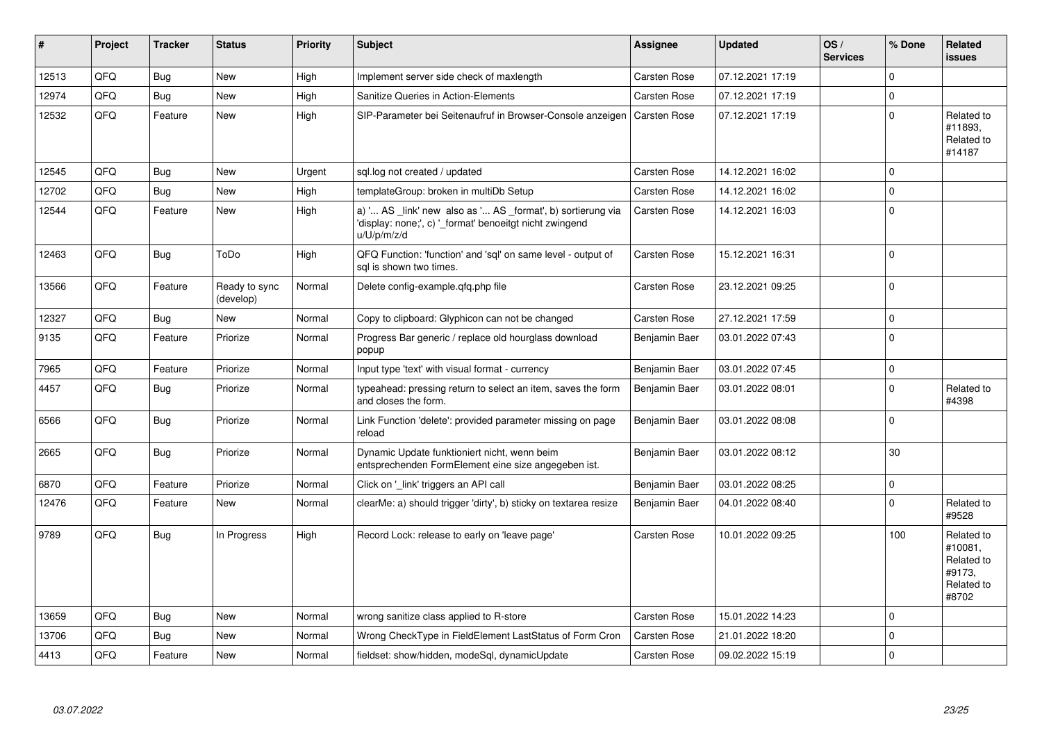| #     | Project | <b>Tracker</b> | <b>Status</b>              | <b>Priority</b> | <b>Subject</b>                                                                                                                        | Assignee            | <b>Updated</b>   | OS/<br><b>Services</b> | % Done      | Related<br>issues                                                    |
|-------|---------|----------------|----------------------------|-----------------|---------------------------------------------------------------------------------------------------------------------------------------|---------------------|------------------|------------------------|-------------|----------------------------------------------------------------------|
| 12513 | QFQ     | Bug            | New                        | High            | Implement server side check of maxlength                                                                                              | Carsten Rose        | 07.12.2021 17:19 |                        | 0           |                                                                      |
| 12974 | QFQ     | <b>Bug</b>     | <b>New</b>                 | High            | Sanitize Queries in Action-Elements                                                                                                   | Carsten Rose        | 07.12.2021 17:19 |                        | $\mathbf 0$ |                                                                      |
| 12532 | QFQ     | Feature        | <b>New</b>                 | High            | SIP-Parameter bei Seitenaufruf in Browser-Console anzeigen                                                                            | <b>Carsten Rose</b> | 07.12.2021 17:19 |                        | $\Omega$    | Related to<br>#11893,<br>Related to<br>#14187                        |
| 12545 | QFQ     | <b>Bug</b>     | <b>New</b>                 | Urgent          | sql.log not created / updated                                                                                                         | Carsten Rose        | 14.12.2021 16:02 |                        | $\mathbf 0$ |                                                                      |
| 12702 | QFQ     | <b>Bug</b>     | <b>New</b>                 | High            | templateGroup: broken in multiDb Setup                                                                                                | Carsten Rose        | 14.12.2021 16:02 |                        | $\Omega$    |                                                                      |
| 12544 | QFQ     | Feature        | <b>New</b>                 | High            | a) ' AS _link' new also as ' AS _format', b) sortierung via<br>'display: none;', c) '_format' benoeitgt nicht zwingend<br>u/U/p/m/z/d | Carsten Rose        | 14.12.2021 16:03 |                        | $\Omega$    |                                                                      |
| 12463 | QFQ     | <b>Bug</b>     | ToDo                       | High            | QFQ Function: 'function' and 'sql' on same level - output of<br>sal is shown two times.                                               | Carsten Rose        | 15.12.2021 16:31 |                        | $\Omega$    |                                                                      |
| 13566 | QFQ     | Feature        | Ready to sync<br>(develop) | Normal          | Delete config-example.gfg.php file                                                                                                    | Carsten Rose        | 23.12.2021 09:25 |                        | $\Omega$    |                                                                      |
| 12327 | QFQ     | <b>Bug</b>     | <b>New</b>                 | Normal          | Copy to clipboard: Glyphicon can not be changed                                                                                       | Carsten Rose        | 27.12.2021 17:59 |                        | $\mathbf 0$ |                                                                      |
| 9135  | QFQ     | Feature        | Priorize                   | Normal          | Progress Bar generic / replace old hourglass download<br>popup                                                                        | Benjamin Baer       | 03.01.2022 07:43 |                        | $\Omega$    |                                                                      |
| 7965  | QFQ     | Feature        | Priorize                   | Normal          | Input type 'text' with visual format - currency                                                                                       | Benjamin Baer       | 03.01.2022 07:45 |                        | $\mathbf 0$ |                                                                      |
| 4457  | QFQ     | Bug            | Priorize                   | Normal          | typeahead: pressing return to select an item, saves the form<br>and closes the form.                                                  | Benjamin Baer       | 03.01.2022 08:01 |                        | $\mathbf 0$ | Related to<br>#4398                                                  |
| 6566  | QFQ     | Bug            | Priorize                   | Normal          | Link Function 'delete': provided parameter missing on page<br>reload                                                                  | Benjamin Baer       | 03.01.2022 08:08 |                        | $\mathbf 0$ |                                                                      |
| 2665  | QFQ     | <b>Bug</b>     | Priorize                   | Normal          | Dynamic Update funktioniert nicht, wenn beim<br>entsprechenden FormElement eine size angegeben ist.                                   | Benjamin Baer       | 03.01.2022 08:12 |                        | 30          |                                                                      |
| 6870  | QFQ     | Feature        | Priorize                   | Normal          | Click on ' link' triggers an API call                                                                                                 | Benjamin Baer       | 03.01.2022 08:25 |                        | $\mathbf 0$ |                                                                      |
| 12476 | QFQ     | Feature        | <b>New</b>                 | Normal          | clearMe: a) should trigger 'dirty', b) sticky on textarea resize                                                                      | Benjamin Baer       | 04.01.2022 08:40 |                        | 0           | Related to<br>#9528                                                  |
| 9789  | QFQ     | <b>Bug</b>     | In Progress                | High            | Record Lock: release to early on 'leave page'                                                                                         | Carsten Rose        | 10.01.2022 09:25 |                        | 100         | Related to<br>#10081.<br>Related to<br>#9173,<br>Related to<br>#8702 |
| 13659 | QFQ     | <b>Bug</b>     | <b>New</b>                 | Normal          | wrong sanitize class applied to R-store                                                                                               | Carsten Rose        | 15.01.2022 14:23 |                        | $\Omega$    |                                                                      |
| 13706 | QFQ     | <b>Bug</b>     | <b>New</b>                 | Normal          | Wrong CheckType in FieldElement LastStatus of Form Cron                                                                               | Carsten Rose        | 21.01.2022 18:20 |                        | $\Omega$    |                                                                      |
| 4413  | QFQ     | Feature        | <b>New</b>                 | Normal          | fieldset: show/hidden, modeSql, dynamicUpdate                                                                                         | Carsten Rose        | 09.02.2022 15:19 |                        | $\Omega$    |                                                                      |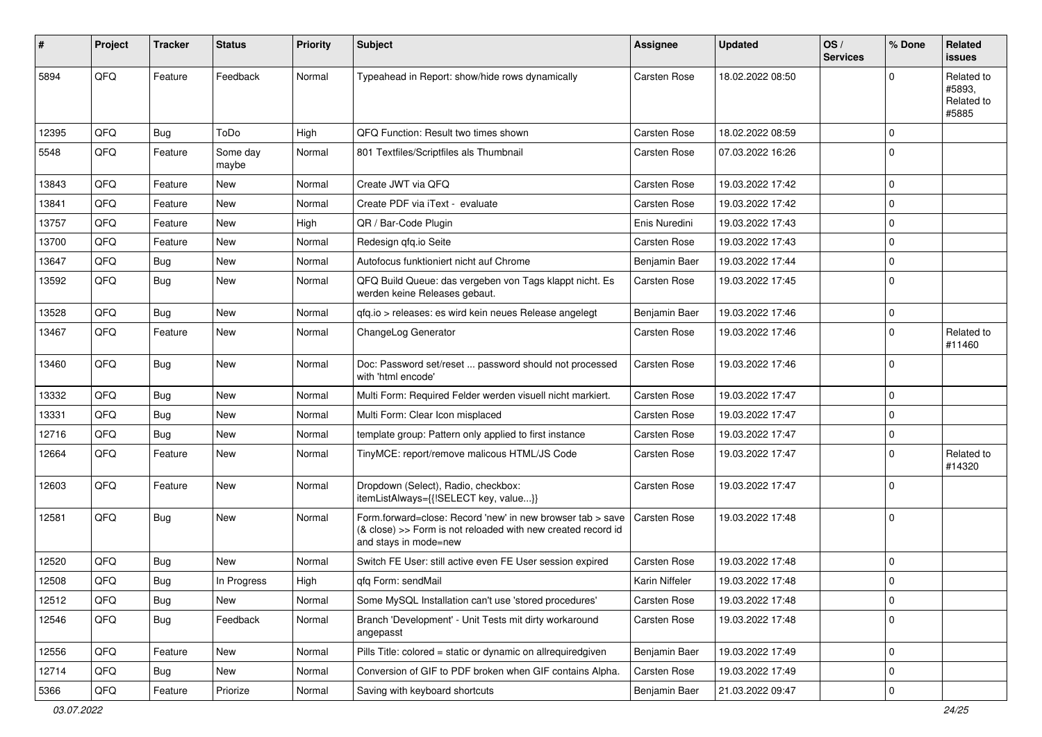| ∦     | Project | <b>Tracker</b> | <b>Status</b>     | <b>Priority</b> | <b>Subject</b>                                                                                                                                      | <b>Assignee</b>     | <b>Updated</b>   | OS/<br><b>Services</b> | % Done      | Related<br>issues                           |
|-------|---------|----------------|-------------------|-----------------|-----------------------------------------------------------------------------------------------------------------------------------------------------|---------------------|------------------|------------------------|-------------|---------------------------------------------|
| 5894  | QFQ     | Feature        | Feedback          | Normal          | Typeahead in Report: show/hide rows dynamically                                                                                                     | <b>Carsten Rose</b> | 18.02.2022 08:50 |                        | $\Omega$    | Related to<br>#5893,<br>Related to<br>#5885 |
| 12395 | QFQ     | <b>Bug</b>     | ToDo              | High            | QFQ Function: Result two times shown                                                                                                                | Carsten Rose        | 18.02.2022 08:59 |                        | $\mathbf 0$ |                                             |
| 5548  | QFQ     | Feature        | Some day<br>maybe | Normal          | 801 Textfiles/Scriptfiles als Thumbnail                                                                                                             | Carsten Rose        | 07.03.2022 16:26 |                        | 0           |                                             |
| 13843 | QFQ     | Feature        | New               | Normal          | Create JWT via QFQ                                                                                                                                  | Carsten Rose        | 19.03.2022 17:42 |                        | $\mathbf 0$ |                                             |
| 13841 | QFQ     | Feature        | <b>New</b>        | Normal          | Create PDF via iText - evaluate                                                                                                                     | <b>Carsten Rose</b> | 19.03.2022 17:42 |                        | $\mathbf 0$ |                                             |
| 13757 | QFQ     | Feature        | New               | High            | QR / Bar-Code Plugin                                                                                                                                | Enis Nuredini       | 19.03.2022 17:43 |                        | $\mathbf 0$ |                                             |
| 13700 | QFQ     | Feature        | New               | Normal          | Redesign qfq.io Seite                                                                                                                               | Carsten Rose        | 19.03.2022 17:43 |                        | $\mathbf 0$ |                                             |
| 13647 | QFQ     | Bug            | New               | Normal          | Autofocus funktioniert nicht auf Chrome                                                                                                             | Benjamin Baer       | 19.03.2022 17:44 |                        | $\mathbf 0$ |                                             |
| 13592 | QFQ     | Bug            | New               | Normal          | QFQ Build Queue: das vergeben von Tags klappt nicht. Es<br>werden keine Releases gebaut.                                                            | Carsten Rose        | 19.03.2022 17:45 |                        | $\Omega$    |                                             |
| 13528 | QFQ     | <b>Bug</b>     | <b>New</b>        | Normal          | gfg.io > releases: es wird kein neues Release angelegt                                                                                              | Benjamin Baer       | 19.03.2022 17:46 |                        | $\mathbf 0$ |                                             |
| 13467 | QFQ     | Feature        | New               | Normal          | ChangeLog Generator                                                                                                                                 | Carsten Rose        | 19.03.2022 17:46 |                        | 0           | Related to<br>#11460                        |
| 13460 | QFQ     | Bug            | New               | Normal          | Doc: Password set/reset  password should not processed<br>with 'html encode'                                                                        | Carsten Rose        | 19.03.2022 17:46 |                        | $\Omega$    |                                             |
| 13332 | QFQ     | <b>Bug</b>     | New               | Normal          | Multi Form: Required Felder werden visuell nicht markiert.                                                                                          | <b>Carsten Rose</b> | 19.03.2022 17:47 |                        | $\mathbf 0$ |                                             |
| 13331 | QFQ     | Bug            | <b>New</b>        | Normal          | Multi Form: Clear Icon misplaced                                                                                                                    | <b>Carsten Rose</b> | 19.03.2022 17:47 |                        | $\mathbf 0$ |                                             |
| 12716 | QFQ     | Bug            | New               | Normal          | template group: Pattern only applied to first instance                                                                                              | Carsten Rose        | 19.03.2022 17:47 |                        | 0           |                                             |
| 12664 | QFQ     | Feature        | New               | Normal          | TinyMCE: report/remove malicous HTML/JS Code                                                                                                        | <b>Carsten Rose</b> | 19.03.2022 17:47 |                        | $\mathbf 0$ | Related to<br>#14320                        |
| 12603 | QFQ     | Feature        | New               | Normal          | Dropdown (Select), Radio, checkbox:<br>itemListAlways={{!SELECT key, value}}                                                                        | Carsten Rose        | 19.03.2022 17:47 |                        | $\Omega$    |                                             |
| 12581 | QFQ     | Bug            | New               | Normal          | Form.forward=close: Record 'new' in new browser tab > save<br>(& close) >> Form is not reloaded with new created record id<br>and stays in mode=new | Carsten Rose        | 19.03.2022 17:48 |                        | 0           |                                             |
| 12520 | QFQ     | Bug            | New               | Normal          | Switch FE User: still active even FE User session expired                                                                                           | Carsten Rose        | 19.03.2022 17:48 |                        | $\mathbf 0$ |                                             |
| 12508 | QFQ     | <b>Bug</b>     | In Progress       | High            | qfq Form: sendMail                                                                                                                                  | Karin Niffeler      | 19.03.2022 17:48 |                        | $\mathbf 0$ |                                             |
| 12512 | QFQ     | <b>Bug</b>     | New               | Normal          | Some MySQL Installation can't use 'stored procedures'                                                                                               | Carsten Rose        | 19.03.2022 17:48 |                        | 0           |                                             |
| 12546 | QFQ     | <b>Bug</b>     | Feedback          | Normal          | Branch 'Development' - Unit Tests mit dirty workaround<br>angepasst                                                                                 | Carsten Rose        | 19.03.2022 17:48 |                        | 0           |                                             |
| 12556 | QFQ     | Feature        | New               | Normal          | Pills Title: colored = static or dynamic on allrequiredgiven                                                                                        | Benjamin Baer       | 19.03.2022 17:49 |                        | 0           |                                             |
| 12714 | QFQ     | <b>Bug</b>     | New               | Normal          | Conversion of GIF to PDF broken when GIF contains Alpha.                                                                                            | Carsten Rose        | 19.03.2022 17:49 |                        | 0           |                                             |
| 5366  | QFQ     | Feature        | Priorize          | Normal          | Saving with keyboard shortcuts                                                                                                                      | Benjamin Baer       | 21.03.2022 09:47 |                        | 0           |                                             |